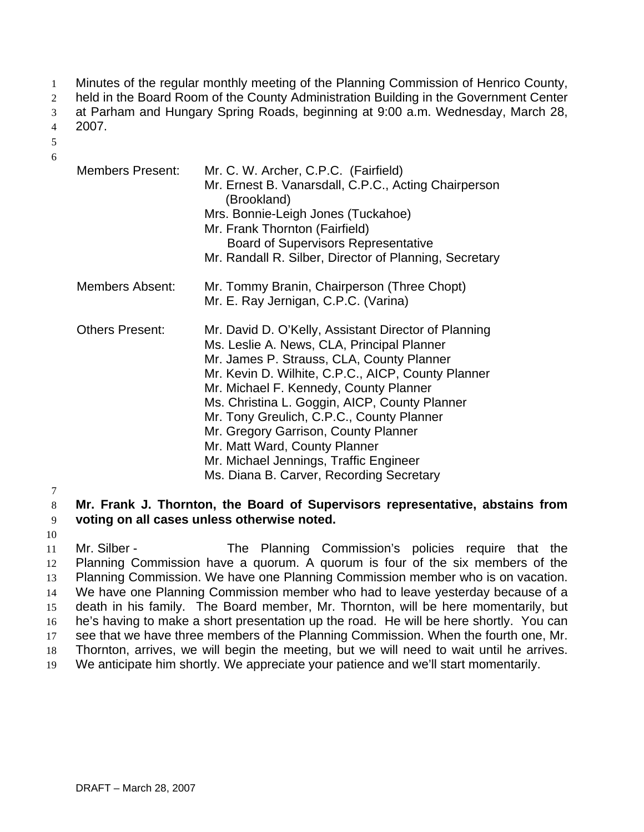Minutes of the regular monthly meeting of the Planning Commission of Henrico County, 1

held in the Board Room of the County Administration Building in the Government Center 2

at Parham and Hungary Spring Roads, beginning at 9:00 a.m. Wednesday, March 28, 3

2007. 4

5 6

| <b>Members Present:</b> | Mr. C. W. Archer, C.P.C. (Fairfield)<br>Mr. Ernest B. Vanarsdall, C.P.C., Acting Chairperson<br>(Brookland)<br>Mrs. Bonnie-Leigh Jones (Tuckahoe)<br>Mr. Frank Thornton (Fairfield)<br><b>Board of Supervisors Representative</b><br>Mr. Randall R. Silber, Director of Planning, Secretary                                                                                                                                                                                                                  |
|-------------------------|--------------------------------------------------------------------------------------------------------------------------------------------------------------------------------------------------------------------------------------------------------------------------------------------------------------------------------------------------------------------------------------------------------------------------------------------------------------------------------------------------------------|
| Members Absent:         | Mr. Tommy Branin, Chairperson (Three Chopt)<br>Mr. E. Ray Jernigan, C.P.C. (Varina)                                                                                                                                                                                                                                                                                                                                                                                                                          |
| <b>Others Present:</b>  | Mr. David D. O'Kelly, Assistant Director of Planning<br>Ms. Leslie A. News, CLA, Principal Planner<br>Mr. James P. Strauss, CLA, County Planner<br>Mr. Kevin D. Wilhite, C.P.C., AICP, County Planner<br>Mr. Michael F. Kennedy, County Planner<br>Ms. Christina L. Goggin, AICP, County Planner<br>Mr. Tony Greulich, C.P.C., County Planner<br>Mr. Gregory Garrison, County Planner<br>Mr. Matt Ward, County Planner<br>Mr. Michael Jennings, Traffic Engineer<br>Ms. Diana B. Carver, Recording Secretary |

7

8 9 **Mr. Frank J. Thornton, the Board of Supervisors representative, abstains from voting on all cases unless otherwise noted.**

10

11 12 13 14 15 16 17 18 19 Mr. Silber - The Planning Commission's policies require that the Planning Commission have a quorum. A quorum is four of the six members of the Planning Commission. We have one Planning Commission member who is on vacation. We have one Planning Commission member who had to leave yesterday because of a death in his family. The Board member, Mr. Thornton, will be here momentarily, but he's having to make a short presentation up the road. He will be here shortly. You can see that we have three members of the Planning Commission. When the fourth one, Mr. Thornton, arrives, we will begin the meeting, but we will need to wait until he arrives. We anticipate him shortly. We appreciate your patience and we'll start momentarily.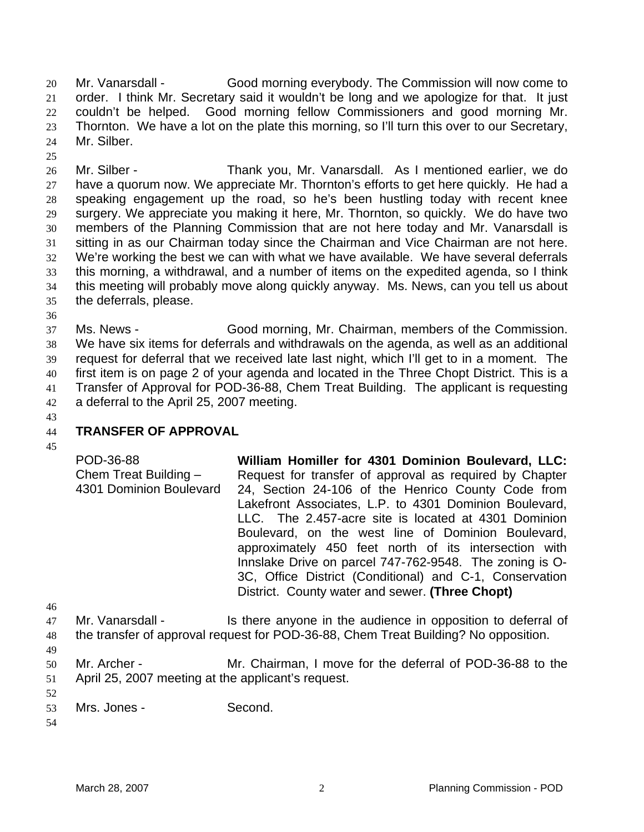Mr. Vanarsdall - Good morning everybody. The Commission will now come to order. I think Mr. Secretary said it wouldn't be long and we apologize for that. It just couldn't be helped. Good morning fellow Commissioners and good morning Mr. Thornton. We have a lot on the plate this morning, so I'll turn this over to our Secretary, Mr. Silber. 20 21 22 23  $24$ 

26 27 28 29 30 31 32 33 34 35 Mr. Silber - Thank you, Mr. Vanarsdall. As I mentioned earlier, we do have a quorum now. We appreciate Mr. Thornton's efforts to get here quickly. He had a speaking engagement up the road, so he's been hustling today with recent knee surgery. We appreciate you making it here, Mr. Thornton, so quickly. We do have two members of the Planning Commission that are not here today and Mr. Vanarsdall is sitting in as our Chairman today since the Chairman and Vice Chairman are not here. We're working the best we can with what we have available. We have several deferrals this morning, a withdrawal, and a number of items on the expedited agenda, so I think this meeting will probably move along quickly anyway. Ms. News, can you tell us about the deferrals, please.

36

25

37 38 39 40 41 42 Ms. News - Good morning, Mr. Chairman, members of the Commission. We have six items for deferrals and withdrawals on the agenda, as well as an additional request for deferral that we received late last night, which I'll get to in a moment. The first item is on page 2 of your agenda and located in the Three Chopt District. This is a Transfer of Approval for POD-36-88, Chem Treat Building. The applicant is requesting a deferral to the April 25, 2007 meeting.

43 44 45

# **TRANSFER OF APPROVAL**

- POD-36-88 Chem Treat Building – 4301 Dominion Boulevard **William Homiller for 4301 Dominion Boulevard, LLC:**  Request for transfer of approval as required by Chapter 24, Section 24-106 of the Henrico County Code from Lakefront Associates, L.P. to 4301 Dominion Boulevard, LLC. The 2.457-acre site is located at 4301 Dominion Boulevard, on the west line of Dominion Boulevard, approximately 450 feet north of its intersection with Innslake Drive on parcel 747-762-9548. The zoning is O-3C, Office District (Conditional) and C-1, Conservation District. County water and sewer. **(Three Chopt)**
- 46
- 47 48 Mr. Vanarsdall - Is there anyone in the audience in opposition to deferral of
- 49 the transfer of approval request for POD-36-88, Chem Treat Building? No opposition.
- 50 51 Mr. Archer - Mr. Chairman, I move for the deferral of POD-36-88 to the April 25, 2007 meeting at the applicant's request.
- 52 53 Mrs. Jones - Second.
- 54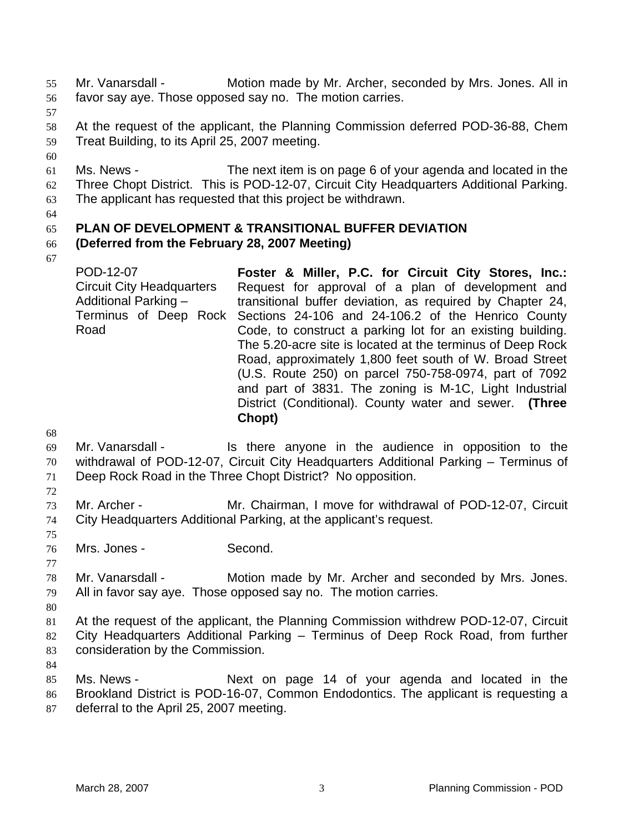Mr. Vanarsdall - Motion made by Mr. Archer, seconded by Mrs. Jones. All in favor say aye. Those opposed say no. The motion carries. 55 56

57

60

58 59 At the request of the applicant, the Planning Commission deferred POD-36-88, Chem Treat Building, to its April 25, 2007 meeting.

61 62 63 Ms. News - The next item is on page 6 of your agenda and located in the Three Chopt District. This is POD-12-07, Circuit City Headquarters Additional Parking. The applicant has requested that this project be withdrawn.

64

#### 65 **PLAN OF DEVELOPMENT & TRANSITIONAL BUFFER DEVIATION**

#### 66 **(Deferred from the February 28, 2007 Meeting)**

67

POD-12-07 Circuit City Headquarters Additional Parking – Terminus of Deep Rock Sections 24-106 and 24-106.2 of the Henrico County Road **Foster & Miller, P.C. for Circuit City Stores, Inc.:**  Request for approval of a plan of development and transitional buffer deviation, as required by Chapter 24, Code, to construct a parking lot for an existing building. The 5.20-acre site is located at the terminus of Deep Rock Road, approximately 1,800 feet south of W. Broad Street (U.S. Route 250) on parcel 750-758-0974, part of 7092 and part of 3831. The zoning is M-1C, Light Industrial District (Conditional). County water and sewer. **(Three Chopt)**

68

69 70 71 Mr. Vanarsdall - Is there anyone in the audience in opposition to the withdrawal of POD-12-07, Circuit City Headquarters Additional Parking – Terminus of Deep Rock Road in the Three Chopt District? No opposition.

72

75

77

73 74 Mr. Archer - Mr. Chairman, I move for withdrawal of POD-12-07, Circuit City Headquarters Additional Parking, at the applicant's request.

76 Mrs. Jones - Second.

78 79 Mr. Vanarsdall - Motion made by Mr. Archer and seconded by Mrs. Jones. All in favor say aye. Those opposed say no. The motion carries.

80

81 82 83 At the request of the applicant, the Planning Commission withdrew POD-12-07, Circuit City Headquarters Additional Parking – Terminus of Deep Rock Road, from further consideration by the Commission.

84

85 86 87 Ms. News - The Next on page 14 of your agenda and located in the Brookland District is POD-16-07, Common Endodontics. The applicant is requesting a deferral to the April 25, 2007 meeting.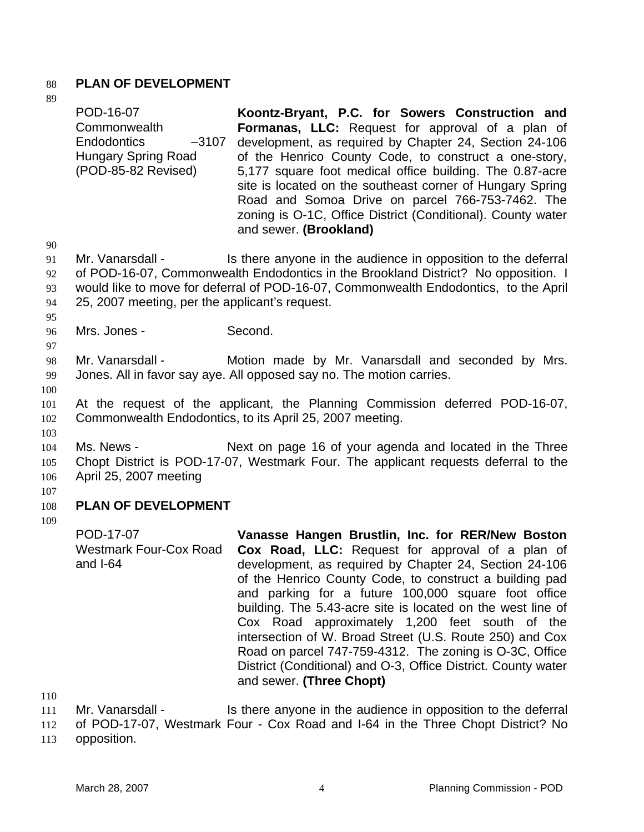## 88 **PLAN OF DEVELOPMENT**

| 89                    |                                                                                                                 |                                                                                                                                                                                                                                                                                                                                                                                                                                                                                              |
|-----------------------|-----------------------------------------------------------------------------------------------------------------|----------------------------------------------------------------------------------------------------------------------------------------------------------------------------------------------------------------------------------------------------------------------------------------------------------------------------------------------------------------------------------------------------------------------------------------------------------------------------------------------|
|                       | POD-16-07<br>Commonwealth<br><b>Endodontics</b><br>$-3107$<br><b>Hungary Spring Road</b><br>(POD-85-82 Revised) | Koontz-Bryant, P.C. for Sowers Construction and<br>Formanas, LLC: Request for approval of a plan of<br>development, as required by Chapter 24, Section 24-106<br>of the Henrico County Code, to construct a one-story,<br>5,177 square foot medical office building. The 0.87-acre<br>site is located on the southeast corner of Hungary Spring<br>Road and Somoa Drive on parcel 766-753-7462. The<br>zoning is O-1C, Office District (Conditional). County water<br>and sewer. (Brookland) |
| 90                    |                                                                                                                 |                                                                                                                                                                                                                                                                                                                                                                                                                                                                                              |
| 91                    | Mr. Vanarsdall -                                                                                                | Is there anyone in the audience in opposition to the deferral                                                                                                                                                                                                                                                                                                                                                                                                                                |
| 92                    |                                                                                                                 | of POD-16-07, Commonwealth Endodontics in the Brookland District? No opposition. I                                                                                                                                                                                                                                                                                                                                                                                                           |
| 93                    |                                                                                                                 | would like to move for deferral of POD-16-07, Commonwealth Endodontics, to the April                                                                                                                                                                                                                                                                                                                                                                                                         |
| 94<br>95              | 25, 2007 meeting, per the applicant's request.                                                                  |                                                                                                                                                                                                                                                                                                                                                                                                                                                                                              |
| 96                    | Mrs. Jones -                                                                                                    | Second.                                                                                                                                                                                                                                                                                                                                                                                                                                                                                      |
| 97<br>98<br>99<br>100 | Mr. Vanarsdall -                                                                                                | Motion made by Mr. Vanarsdall and seconded by Mrs.<br>Jones. All in favor say aye. All opposed say no. The motion carries.                                                                                                                                                                                                                                                                                                                                                                   |
| 101<br>102<br>103     |                                                                                                                 | At the request of the applicant, the Planning Commission deferred POD-16-07,<br>Commonwealth Endodontics, to its April 25, 2007 meeting.                                                                                                                                                                                                                                                                                                                                                     |
| 104                   | Ms. News -                                                                                                      | Next on page 16 of your agenda and located in the Three                                                                                                                                                                                                                                                                                                                                                                                                                                      |
| 105                   |                                                                                                                 | Chopt District is POD-17-07, Westmark Four. The applicant requests deferral to the                                                                                                                                                                                                                                                                                                                                                                                                           |
| 106                   | April 25, 2007 meeting                                                                                          |                                                                                                                                                                                                                                                                                                                                                                                                                                                                                              |
| 107                   |                                                                                                                 |                                                                                                                                                                                                                                                                                                                                                                                                                                                                                              |
| 108                   | <b>PLAN OF DEVELOPMENT</b>                                                                                      |                                                                                                                                                                                                                                                                                                                                                                                                                                                                                              |
| 109                   |                                                                                                                 |                                                                                                                                                                                                                                                                                                                                                                                                                                                                                              |
|                       | POD-17-07<br><b>Westmark Four-Cox Road</b><br>and $I-64$                                                        | Vanasse Hangen Brustlin, Inc. for RER/New Boston<br>Cox Road, LLC: Request for approval of a plan of<br>development, as required by Chapter 24, Section 24-106                                                                                                                                                                                                                                                                                                                               |

of the Henrico County Code, to construct a building pad and parking for a future 100,000 square foot office building. The 5.43-acre site is located on the west line of Cox Road approximately 1,200 feet south of the intersection of W. Broad Street (U.S. Route 250) and Cox Road on parcel 747-759-4312. The zoning is O-3C, Office District (Conditional) and O-3, Office District. County water and sewer. **(Three Chopt)** 

110

111 Mr. Vanarsdall - Is there anyone in the audience in opposition to the deferral

112 of POD-17-07, Westmark Four - Cox Road and I-64 in the Three Chopt District? No

113 opposition.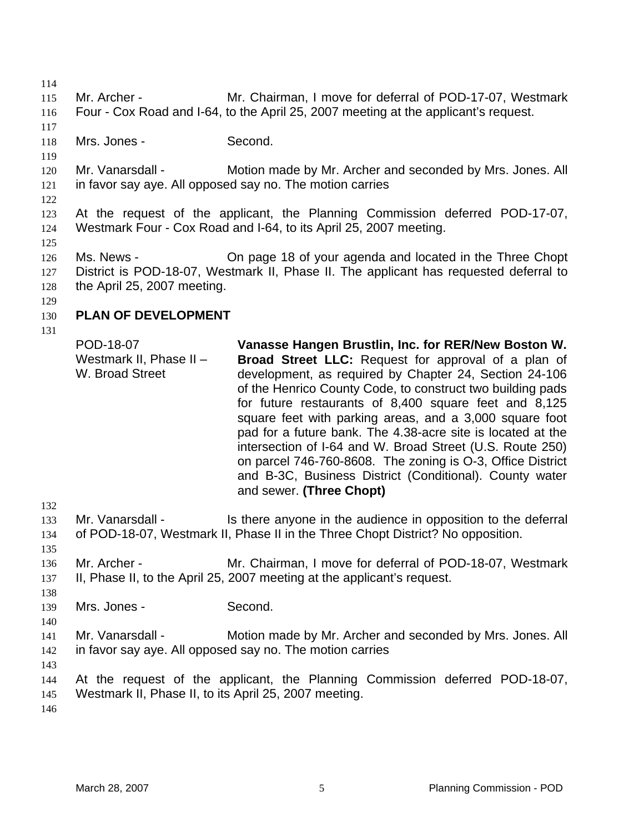114 115 116 117 118 119 120 121 122 123 124 125 126 127 128 129 130 131 132 133 134 135 136 137 138 139 140 141 142 143 144 145 146 Mr. Archer - Mr. Chairman, I move for deferral of POD-17-07, Westmark Four - Cox Road and I-64, to the April 25, 2007 meeting at the applicant's request. Mrs. Jones - Second. Mr. Vanarsdall - Motion made by Mr. Archer and seconded by Mrs. Jones. All in favor say aye. All opposed say no. The motion carries At the request of the applicant, the Planning Commission deferred POD-17-07, Westmark Four - Cox Road and I-64, to its April 25, 2007 meeting. Ms. News - Chipage 18 of your agenda and located in the Three Chopt District is POD-18-07, Westmark II, Phase II. The applicant has requested deferral to the April 25, 2007 meeting. **PLAN OF DEVELOPMENT**  POD-18-07 Westmark II, Phase II – W. Broad Street **Vanasse Hangen Brustlin, Inc. for RER/New Boston W. Broad Street LLC:** Request for approval of a plan of development, as required by Chapter 24, Section 24-106 of the Henrico County Code, to construct two building pads for future restaurants of 8,400 square feet and 8,125 square feet with parking areas, and a 3,000 square foot pad for a future bank. The 4.38-acre site is located at the intersection of I-64 and W. Broad Street (U.S. Route 250) on parcel 746-760-8608. The zoning is O-3, Office District and B-3C, Business District (Conditional). County water and sewer. **(Three Chopt)**  Mr. Vanarsdall - Is there anyone in the audience in opposition to the deferral of POD-18-07, Westmark II, Phase II in the Three Chopt District? No opposition. Mr. Archer - Mr. Chairman, I move for deferral of POD-18-07, Westmark II, Phase II, to the April 25, 2007 meeting at the applicant's request. Mrs. Jones - Second. Mr. Vanarsdall - Motion made by Mr. Archer and seconded by Mrs. Jones. All in favor say aye. All opposed say no. The motion carries At the request of the applicant, the Planning Commission deferred POD-18-07, Westmark II, Phase II, to its April 25, 2007 meeting.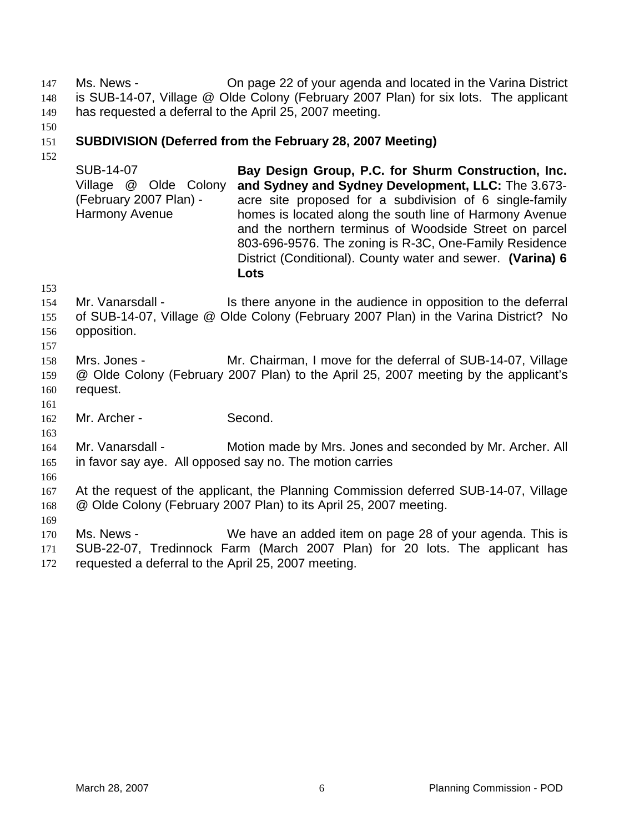Ms. News - On page 22 of your agenda and located in the Varina District is SUB-14-07, Village @ Olde Colony (February 2007 Plan) for six lots. The applicant has requested a deferral to the April 25, 2007 meeting. 147 148 149

150

#### 151 **SUBDIVISION (Deferred from the February 28, 2007 Meeting)**

152

SUB-14-07 Village @ Olde Colony (February 2007 Plan) - Harmony Avenue **Bay Design Group, P.C. for Shurm Construction, Inc. and Sydney and Sydney Development, LLC:** The 3.673 acre site proposed for a subdivision of 6 single-family homes is located along the south line of Harmony Avenue and the northern terminus of Woodside Street on parcel 803-696-9576. The zoning is R-3C, One-Family Residence District (Conditional). County water and sewer. **(Varina) 6 Lots** 

153

154 155 156 Mr. Vanarsdall - Is there anyone in the audience in opposition to the deferral of SUB-14-07, Village @ Olde Colony (February 2007 Plan) in the Varina District? No opposition.

157

158 159 160 Mrs. Jones - Mr. Chairman, I move for the deferral of SUB-14-07, Village @ Olde Colony (February 2007 Plan) to the April 25, 2007 meeting by the applicant's request.

161

162 Mr. Archer - Second.

164 165 Mr. Vanarsdall - Motion made by Mrs. Jones and seconded by Mr. Archer. All in favor say aye. All opposed say no. The motion carries

166

169

163

167 168 At the request of the applicant, the Planning Commission deferred SUB-14-07, Village @ Olde Colony (February 2007 Plan) to its April 25, 2007 meeting.

170 171 172 Ms. News - We have an added item on page 28 of your agenda. This is SUB-22-07, Tredinnock Farm (March 2007 Plan) for 20 lots. The applicant has requested a deferral to the April 25, 2007 meeting.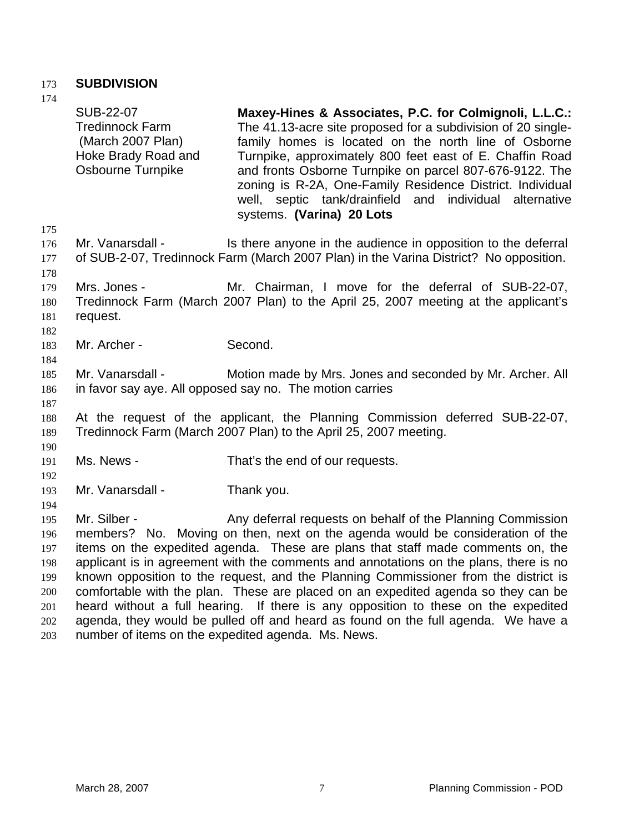# 173 **SUBDIVISION**

| 174               |                                                                                                             |                                                                                                                                                                                                                                                                                                                                                                                                                                                            |
|-------------------|-------------------------------------------------------------------------------------------------------------|------------------------------------------------------------------------------------------------------------------------------------------------------------------------------------------------------------------------------------------------------------------------------------------------------------------------------------------------------------------------------------------------------------------------------------------------------------|
|                   | <b>SUB-22-07</b><br><b>Tredinnock Farm</b><br>(March 2007 Plan)<br>Hoke Brady Road and<br>Osbourne Turnpike | Maxey-Hines & Associates, P.C. for Colmignoli, L.L.C.:<br>The 41.13-acre site proposed for a subdivision of 20 single-<br>family homes is located on the north line of Osborne<br>Turnpike, approximately 800 feet east of E. Chaffin Road<br>and fronts Osborne Turnpike on parcel 807-676-9122. The<br>zoning is R-2A, One-Family Residence District. Individual<br>well, septic tank/drainfield and individual alternative<br>systems. (Varina) 20 Lots |
| 175               |                                                                                                             |                                                                                                                                                                                                                                                                                                                                                                                                                                                            |
| 176<br>177<br>178 | Mr. Vanarsdall -                                                                                            | Is there anyone in the audience in opposition to the deferral<br>of SUB-2-07, Tredinnock Farm (March 2007 Plan) in the Varina District? No opposition.                                                                                                                                                                                                                                                                                                     |
|                   |                                                                                                             |                                                                                                                                                                                                                                                                                                                                                                                                                                                            |
| 179<br>180        | Mrs. Jones -                                                                                                | Mr. Chairman, I move for the deferral of SUB-22-07,<br>Tredinnock Farm (March 2007 Plan) to the April 25, 2007 meeting at the applicant's                                                                                                                                                                                                                                                                                                                  |
| 181               | request.                                                                                                    |                                                                                                                                                                                                                                                                                                                                                                                                                                                            |
| 182               |                                                                                                             |                                                                                                                                                                                                                                                                                                                                                                                                                                                            |
| 183<br>184        | Mr. Archer -                                                                                                | Second.                                                                                                                                                                                                                                                                                                                                                                                                                                                    |
| 185               | Mr. Vanarsdall -                                                                                            | Motion made by Mrs. Jones and seconded by Mr. Archer. All                                                                                                                                                                                                                                                                                                                                                                                                  |
| 186<br>187        |                                                                                                             | in favor say aye. All opposed say no. The motion carries                                                                                                                                                                                                                                                                                                                                                                                                   |
| 188               |                                                                                                             | At the request of the applicant, the Planning Commission deferred SUB-22-07,                                                                                                                                                                                                                                                                                                                                                                               |
| 189<br>190        |                                                                                                             | Tredinnock Farm (March 2007 Plan) to the April 25, 2007 meeting.                                                                                                                                                                                                                                                                                                                                                                                           |
| 191               | Ms. News -                                                                                                  | That's the end of our requests.                                                                                                                                                                                                                                                                                                                                                                                                                            |
| 192               |                                                                                                             |                                                                                                                                                                                                                                                                                                                                                                                                                                                            |
| 193               | Mr. Vanarsdall -                                                                                            | Thank you.                                                                                                                                                                                                                                                                                                                                                                                                                                                 |
| 194               |                                                                                                             |                                                                                                                                                                                                                                                                                                                                                                                                                                                            |
| 195               | Mr. Silber -                                                                                                | Any deferral requests on behalf of the Planning Commission                                                                                                                                                                                                                                                                                                                                                                                                 |
| 196               |                                                                                                             | members? No. Moving on then, next on the agenda would be consideration of the                                                                                                                                                                                                                                                                                                                                                                              |
| 197               |                                                                                                             | items on the expedited agenda. These are plans that staff made comments on, the                                                                                                                                                                                                                                                                                                                                                                            |
| 198               |                                                                                                             | applicant is in agreement with the comments and annotations on the plans, there is no                                                                                                                                                                                                                                                                                                                                                                      |
| 199               |                                                                                                             | known opposition to the request, and the Planning Commissioner from the district is                                                                                                                                                                                                                                                                                                                                                                        |
| 200               |                                                                                                             | comfortable with the plan. These are placed on an expedited agenda so they can be                                                                                                                                                                                                                                                                                                                                                                          |
| 201               |                                                                                                             | heard without a full hearing. If there is any opposition to these on the expedited                                                                                                                                                                                                                                                                                                                                                                         |
| 202<br>203        |                                                                                                             | agenda, they would be pulled off and heard as found on the full agenda. We have a<br>number of items on the expedited agenda. Ms. News.                                                                                                                                                                                                                                                                                                                    |
|                   |                                                                                                             |                                                                                                                                                                                                                                                                                                                                                                                                                                                            |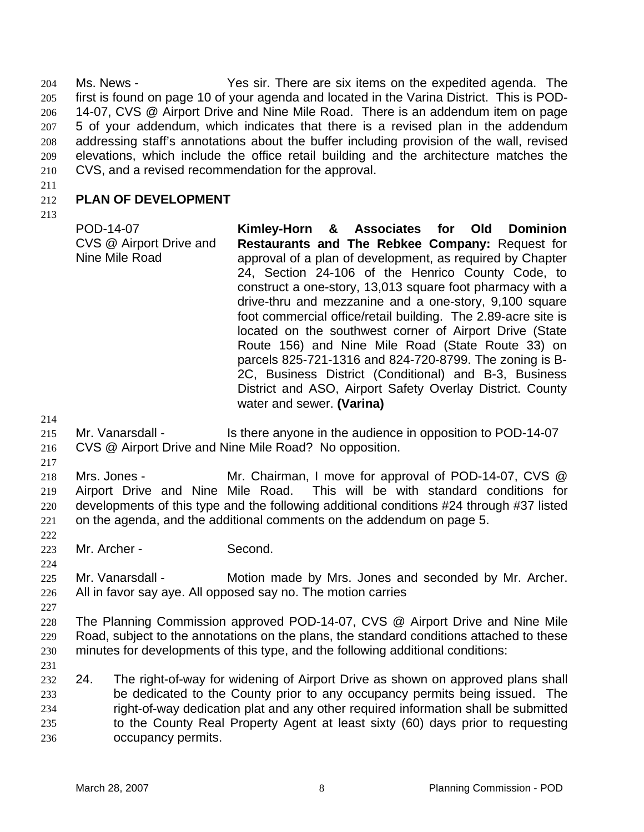Ms. News - Yes sir. There are six items on the expedited agenda. The first is found on page 10 of your agenda and located in the Varina District. This is POD-14-07, CVS @ Airport Drive and Nine Mile Road. There is an addendum item on page 5 of your addendum, which indicates that there is a revised plan in the addendum addressing staff's annotations about the buffer including provision of the wall, revised elevations, which include the office retail building and the architecture matches the CVS, and a revised recommendation for the approval. 204 205 206 207 208 209 210

211

#### 212 **PLAN OF DEVELOPMENT**

213

POD-14-07 CVS @ Airport Drive and Nine Mile Road **Kimley-Horn & Associates for Old Dominion Restaurants and The Rebkee Company:** Request for approval of a plan of development, as required by Chapter 24, Section 24-106 of the Henrico County Code, to construct a one-story, 13,013 square foot pharmacy with a drive-thru and mezzanine and a one-story, 9,100 square foot commercial office/retail building. The 2.89-acre site is located on the southwest corner of Airport Drive (State Route 156) and Nine Mile Road (State Route 33) on parcels 825-721-1316 and 824-720-8799. The zoning is B-2C, Business District (Conditional) and B-3, Business District and ASO, Airport Safety Overlay District. County water and sewer. **(Varina)** 

214

- 215 Mr. Vanarsdall - Is there anyone in the audience in opposition to POD-14-07
- 216 CVS @ Airport Drive and Nine Mile Road? No opposition.
- 217 218 219 220 221 Mrs. Jones - Mr. Chairman, I move for approval of POD-14-07, CVS @ Airport Drive and Nine Mile Road. This will be with standard conditions for developments of this type and the following additional conditions #24 through #37 listed on the agenda, and the additional comments on the addendum on page 5.
- 223 Mr. Archer - Second.
- 225 226 Mr. Vanarsdall - Motion made by Mrs. Jones and seconded by Mr. Archer. All in favor say aye. All opposed say no. The motion carries
- 227

222

224

228 229 230 The Planning Commission approved POD-14-07, CVS @ Airport Drive and Nine Mile Road, subject to the annotations on the plans, the standard conditions attached to these minutes for developments of this type, and the following additional conditions:

231

232 233 234 235 236 24. The right-of-way for widening of Airport Drive as shown on approved plans shall be dedicated to the County prior to any occupancy permits being issued. The right-of-way dedication plat and any other required information shall be submitted to the County Real Property Agent at least sixty (60) days prior to requesting occupancy permits.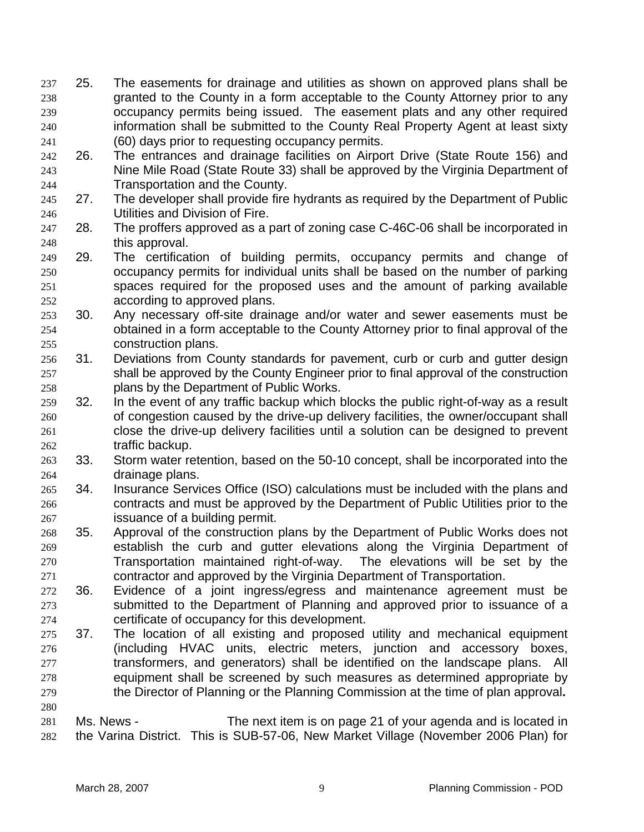- 25. The easements for drainage and utilities as shown on approved plans shall be granted to the County in a form acceptable to the County Attorney prior to any occupancy permits being issued. The easement plats and any other required information shall be submitted to the County Real Property Agent at least sixty (60) days prior to requesting occupancy permits. 237 238 239 240 241
- 242 243 244 26. The entrances and drainage facilities on Airport Drive (State Route 156) and Nine Mile Road (State Route 33) shall be approved by the Virginia Department of Transportation and the County.
- 245 246 27. The developer shall provide fire hydrants as required by the Department of Public Utilities and Division of Fire.
- 247 248 28. The proffers approved as a part of zoning case C-46C-06 shall be incorporated in this approval.
- 249 250 251 252 29. The certification of building permits, occupancy permits and change of occupancy permits for individual units shall be based on the number of parking spaces required for the proposed uses and the amount of parking available according to approved plans.
- 253 254 255 30. Any necessary off-site drainage and/or water and sewer easements must be obtained in a form acceptable to the County Attorney prior to final approval of the construction plans.
- 256 257 258 31. Deviations from County standards for pavement, curb or curb and gutter design shall be approved by the County Engineer prior to final approval of the construction plans by the Department of Public Works.
- 259 260 261 262 32. In the event of any traffic backup which blocks the public right-of-way as a result of congestion caused by the drive-up delivery facilities, the owner/occupant shall close the drive-up delivery facilities until a solution can be designed to prevent traffic backup.
- 263 264 33. Storm water retention, based on the 50-10 concept, shall be incorporated into the drainage plans.
- 265 266 267 34. Insurance Services Office (ISO) calculations must be included with the plans and contracts and must be approved by the Department of Public Utilities prior to the issuance of a building permit.
- 268 269 270 271 35. Approval of the construction plans by the Department of Public Works does not establish the curb and gutter elevations along the Virginia Department of Transportation maintained right-of-way. The elevations will be set by the contractor and approved by the Virginia Department of Transportation.
- 272 273 274 36. Evidence of a joint ingress/egress and maintenance agreement must be submitted to the Department of Planning and approved prior to issuance of a certificate of occupancy for this development.
- 275 276 277 278 279 37. The location of all existing and proposed utility and mechanical equipment (including HVAC units, electric meters, junction and accessory boxes, transformers, and generators) shall be identified on the landscape plans. All equipment shall be screened by such measures as determined appropriate by the Director of Planning or the Planning Commission at the time of plan approval**.**
- 281 282 Ms. News - The next item is on page 21 of your agenda and is located in the Varina District. This is SUB-57-06, New Market Village (November 2006 Plan) for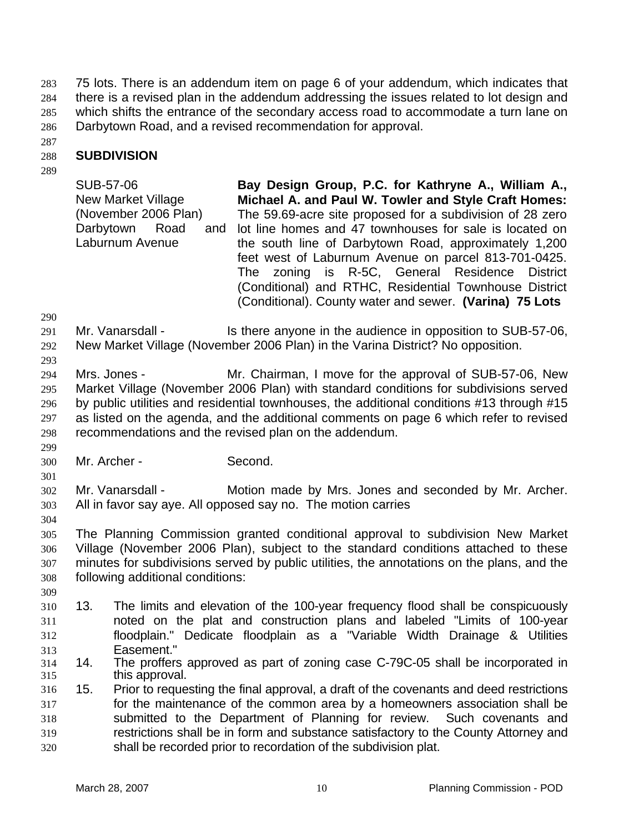75 lots. There is an addendum item on page 6 of your addendum, which indicates that there is a revised plan in the addendum addressing the issues related to lot design and which shifts the entrance of the secondary access road to accommodate a turn lane on Darbytown Road, and a revised recommendation for approval. 283 284 285 286

287

#### 288 **SUBDIVISION**

289

SUB-57-06 New Market Village (November 2006 Plan) Darbytown Road Laburnum Avenue **Bay Design Group, P.C. for Kathryne A., William A., Michael A. and Paul W. Towler and Style Craft Homes:**  The 59.69-acre site proposed for a subdivision of 28 zero and lot line homes and 47 townhouses for sale is located on the south line of Darbytown Road, approximately 1,200 feet west of Laburnum Avenue on parcel 813-701-0425. The zoning is R-5C, General Residence District (Conditional) and RTHC, Residential Townhouse District (Conditional). County water and sewer. **(Varina) 75 Lots** 

290

291 Mr. Vanarsdall - Is there anyone in the audience in opposition to SUB-57-06,

292 293 New Market Village (November 2006 Plan) in the Varina District? No opposition.

294 295 296 297 298 Mrs. Jones - Mr. Chairman, I move for the approval of SUB-57-06, New Market Village (November 2006 Plan) with standard conditions for subdivisions served by public utilities and residential townhouses, the additional conditions #13 through #15 as listed on the agenda, and the additional comments on page 6 which refer to revised recommendations and the revised plan on the addendum.

300 Mr. Archer - Second.

302 303 Mr. Vanarsdall - Motion made by Mrs. Jones and seconded by Mr. Archer. All in favor say aye. All opposed say no. The motion carries

304

299

301

305 306 307 308 The Planning Commission granted conditional approval to subdivision New Market Village (November 2006 Plan), subject to the standard conditions attached to these minutes for subdivisions served by public utilities, the annotations on the plans, and the following additional conditions:

309

310 311 312 313 13. The limits and elevation of the 100-year frequency flood shall be conspicuously noted on the plat and construction plans and labeled "Limits of 100-year floodplain." Dedicate floodplain as a "Variable Width Drainage & Utilities Easement."

- 314 315 14. The proffers approved as part of zoning case C-79C-05 shall be incorporated in this approval.
- 316 317 318 319 320 15. Prior to requesting the final approval, a draft of the covenants and deed restrictions for the maintenance of the common area by a homeowners association shall be submitted to the Department of Planning for review. Such covenants and restrictions shall be in form and substance satisfactory to the County Attorney and shall be recorded prior to recordation of the subdivision plat.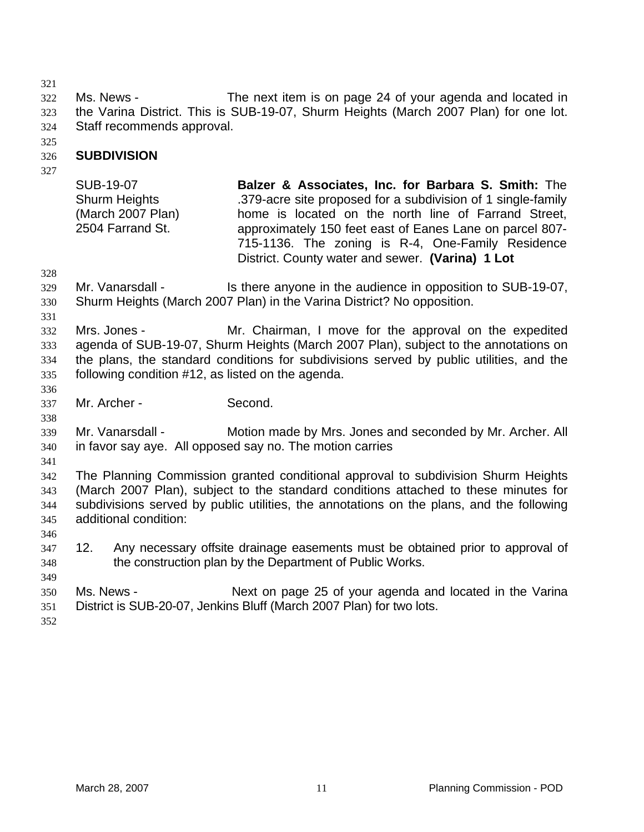321

322 323 324 Ms. News - The next item is on page 24 of your agenda and located in the Varina District. This is SUB-19-07, Shurm Heights (March 2007 Plan) for one lot. Staff recommends approval.

325

#### 326 **SUBDIVISION**

327

SUB-19-07 Shurm Heights (March 2007 Plan) 2504 Farrand St.

**Balzer & Associates, Inc. for Barbara S. Smith:** The .379-acre site proposed for a subdivision of 1 single-family home is located on the north line of Farrand Street, approximately 150 feet east of Eanes Lane on parcel 807- 715-1136. The zoning is R-4, One-Family Residence District. County water and sewer. **(Varina) 1 Lot** 

- 328
- 329 330 Mr. Vanarsdall - Is there anyone in the audience in opposition to SUB-19-07, Shurm Heights (March 2007 Plan) in the Varina District? No opposition.
- 331

332 333 334 335 Mrs. Jones - Mr. Chairman, I move for the approval on the expedited agenda of SUB-19-07, Shurm Heights (March 2007 Plan), subject to the annotations on the plans, the standard conditions for subdivisions served by public utilities, and the following condition #12, as listed on the agenda.

337 Mr. Archer - Second.

339 340 Mr. Vanarsdall - Motion made by Mrs. Jones and seconded by Mr. Archer. All in favor say aye. All opposed say no. The motion carries

341

346

336

338

342 343 344 345 The Planning Commission granted conditional approval to subdivision Shurm Heights (March 2007 Plan), subject to the standard conditions attached to these minutes for subdivisions served by public utilities, the annotations on the plans, and the following additional condition:

- 347 348 12. Any necessary offsite drainage easements must be obtained prior to approval of the construction plan by the Department of Public Works.
- 349 350 351 Ms. News - Next on page 25 of your agenda and located in the Varina District is SUB-20-07, Jenkins Bluff (March 2007 Plan) for two lots.
- 352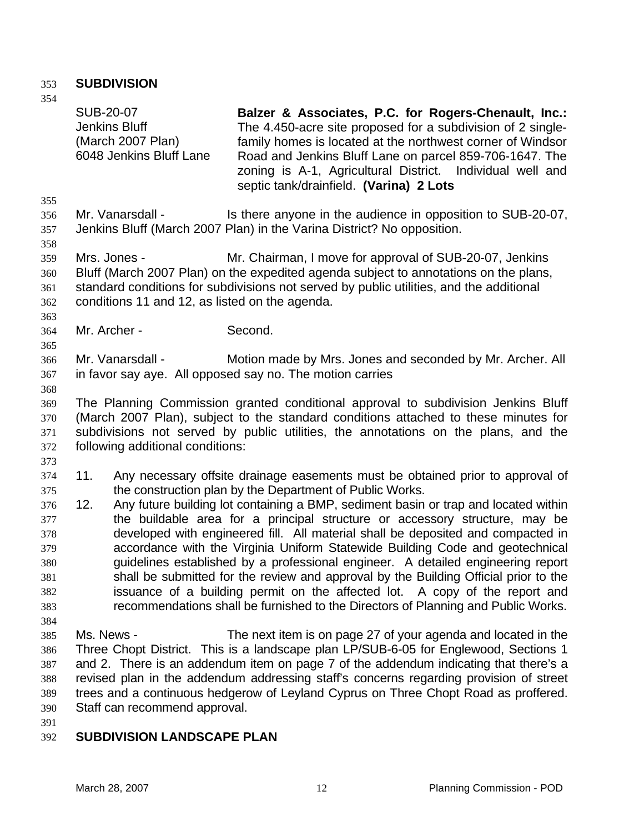## 353 **SUBDIVISION**

354 355 356 357 358 359 360 361 362 363 364 365 366 367 368 369 370 371 372 373 374 375 376 377 378 379 380 381 382 383 384 385 386 387 388 389 390 SUB-20-07 Jenkins Bluff (March 2007 Plan) 6048 Jenkins Bluff Lane **Balzer & Associates, P.C. for Rogers-Chenault, Inc.:**  The 4.450-acre site proposed for a subdivision of 2 singlefamily homes is located at the northwest corner of Windsor Road and Jenkins Bluff Lane on parcel 859-706-1647. The zoning is A-1, Agricultural District. Individual well and septic tank/drainfield. **(Varina) 2 Lots**  Mr. Vanarsdall - Is there anyone in the audience in opposition to SUB-20-07, Jenkins Bluff (March 2007 Plan) in the Varina District? No opposition. Mrs. Jones - Mr. Chairman, I move for approval of SUB-20-07, Jenkins Bluff (March 2007 Plan) on the expedited agenda subject to annotations on the plans, standard conditions for subdivisions not served by public utilities, and the additional conditions 11 and 12, as listed on the agenda. Mr. Archer - Second. Mr. Vanarsdall - Motion made by Mrs. Jones and seconded by Mr. Archer. All in favor say aye. All opposed say no. The motion carries The Planning Commission granted conditional approval to subdivision Jenkins Bluff (March 2007 Plan), subject to the standard conditions attached to these minutes for subdivisions not served by public utilities, the annotations on the plans, and the following additional conditions: 11. Any necessary offsite drainage easements must be obtained prior to approval of the construction plan by the Department of Public Works. 12. Any future building lot containing a BMP, sediment basin or trap and located within the buildable area for a principal structure or accessory structure, may be developed with engineered fill. All material shall be deposited and compacted in accordance with the Virginia Uniform Statewide Building Code and geotechnical guidelines established by a professional engineer. A detailed engineering report shall be submitted for the review and approval by the Building Official prior to the issuance of a building permit on the affected lot. A copy of the report and recommendations shall be furnished to the Directors of Planning and Public Works. Ms. News - The next item is on page 27 of your agenda and located in the Three Chopt District. This is a landscape plan LP/SUB-6-05 for Englewood, Sections 1 and 2. There is an addendum item on page 7 of the addendum indicating that there's a revised plan in the addendum addressing staff's concerns regarding provision of street trees and a continuous hedgerow of Leyland Cyprus on Three Chopt Road as proffered. Staff can recommend approval.

391

#### 392 **SUBDIVISION LANDSCAPE PLAN**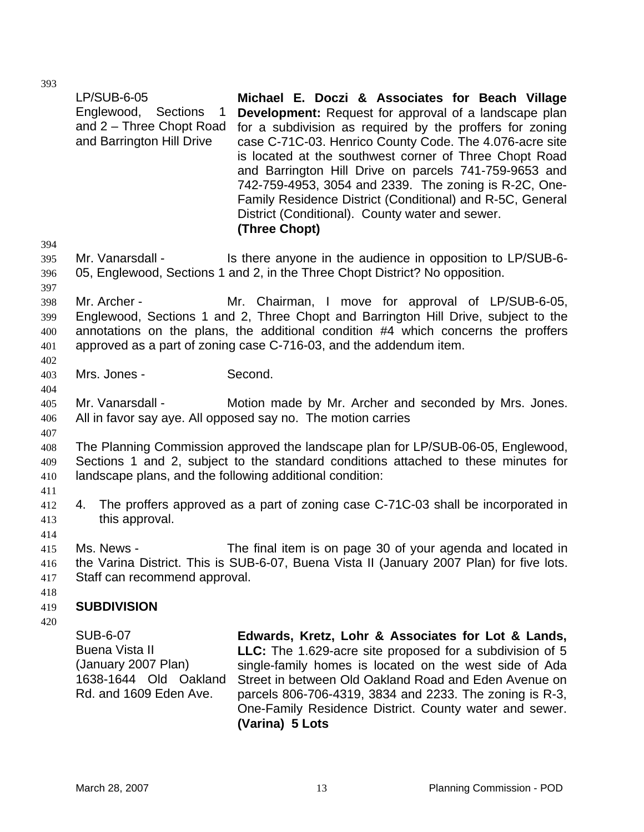|                                 | <b>LP/SUB-6-05</b><br>Englewood, Sections<br>1<br>and 2 – Three Chopt Road<br>and Barrington Hill Drive            | Michael E. Doczi & Associates for Beach Village<br><b>Development:</b> Request for approval of a landscape plan<br>for a subdivision as required by the proffers for zoning<br>case C-71C-03. Henrico County Code. The 4.076-acre site<br>is located at the southwest corner of Three Chopt Road<br>and Barrington Hill Drive on parcels 741-759-9653 and<br>742-759-4953, 3054 and 2339. The zoning is R-2C, One-<br>Family Residence District (Conditional) and R-5C, General<br>District (Conditional). County water and sewer.<br>(Three Chopt) |
|---------------------------------|--------------------------------------------------------------------------------------------------------------------|-----------------------------------------------------------------------------------------------------------------------------------------------------------------------------------------------------------------------------------------------------------------------------------------------------------------------------------------------------------------------------------------------------------------------------------------------------------------------------------------------------------------------------------------------------|
| 394<br>395<br>396<br>397        | Mr. Vanarsdall -                                                                                                   | Is there anyone in the audience in opposition to LP/SUB-6-<br>05, Englewood, Sections 1 and 2, in the Three Chopt District? No opposition.                                                                                                                                                                                                                                                                                                                                                                                                          |
| 398<br>399<br>400<br>401<br>402 | Mr. Archer -                                                                                                       | Mr. Chairman, I move for approval of LP/SUB-6-05,<br>Englewood, Sections 1 and 2, Three Chopt and Barrington Hill Drive, subject to the<br>annotations on the plans, the additional condition #4 which concerns the proffers<br>approved as a part of zoning case C-716-03, and the addendum item.                                                                                                                                                                                                                                                  |
| 403<br>404                      | Mrs. Jones -                                                                                                       | Second.                                                                                                                                                                                                                                                                                                                                                                                                                                                                                                                                             |
| 405<br>406                      | Mr. Vanarsdall -                                                                                                   | Motion made by Mr. Archer and seconded by Mrs. Jones.<br>All in favor say aye. All opposed say no. The motion carries                                                                                                                                                                                                                                                                                                                                                                                                                               |
| 407<br>408<br>409<br>410        |                                                                                                                    | The Planning Commission approved the landscape plan for LP/SUB-06-05, Englewood,<br>Sections 1 and 2, subject to the standard conditions attached to these minutes for<br>landscape plans, and the following additional condition:                                                                                                                                                                                                                                                                                                                  |
| 411<br>412<br>413               | 4.<br>this approval.                                                                                               | The proffers approved as a part of zoning case C-71C-03 shall be incorporated in                                                                                                                                                                                                                                                                                                                                                                                                                                                                    |
| 414<br>415<br>416<br>417<br>418 | Ms. News -<br>Staff can recommend approval.                                                                        | The final item is on page 30 of your agenda and located in<br>the Varina District. This is SUB-6-07, Buena Vista II (January 2007 Plan) for five lots.                                                                                                                                                                                                                                                                                                                                                                                              |
| 419<br>420                      | <b>SUBDIVISION</b>                                                                                                 |                                                                                                                                                                                                                                                                                                                                                                                                                                                                                                                                                     |
|                                 | <b>SUB-6-07</b><br><b>Buena Vista II</b><br>(January 2007 Plan)<br>1638-1644 Old Oakland<br>Rd. and 1609 Eden Ave. | Edwards, Kretz, Lohr & Associates for Lot & Lands,<br>LLC: The 1.629-acre site proposed for a subdivision of 5<br>single-family homes is located on the west side of Ada<br>Street in between Old Oakland Road and Eden Avenue on<br>parcels 806-706-4319, 3834 and 2233. The zoning is R-3,<br>One-Family Residence District. County water and sewer.<br>(Varina) 5 Lots                                                                                                                                                                           |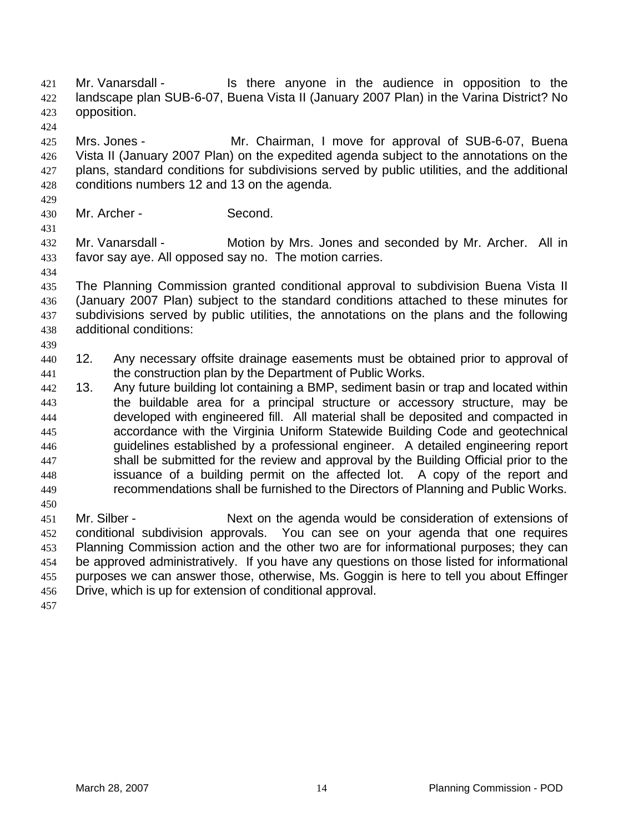Mr. Vanarsdall - Is there anyone in the audience in opposition to the landscape plan SUB-6-07, Buena Vista II (January 2007 Plan) in the Varina District? No opposition. 421 422 423

425 426 427 428 Mrs. Jones - The Mr. Chairman, I move for approval of SUB-6-07, Buena Vista II (January 2007 Plan) on the expedited agenda subject to the annotations on the plans, standard conditions for subdivisions served by public utilities, and the additional conditions numbers 12 and 13 on the agenda.

429 430

434

439

424

Mr. Archer - Second.

431 432 433 Mr. Vanarsdall - Motion by Mrs. Jones and seconded by Mr. Archer. All in favor say aye. All opposed say no. The motion carries.

- 435 436 437 438 The Planning Commission granted conditional approval to subdivision Buena Vista II (January 2007 Plan) subject to the standard conditions attached to these minutes for subdivisions served by public utilities, the annotations on the plans and the following additional conditions:
- 440 441 12. Any necessary offsite drainage easements must be obtained prior to approval of the construction plan by the Department of Public Works.
- 442 443 444 445 446 447 448 449 13. Any future building lot containing a BMP, sediment basin or trap and located within the buildable area for a principal structure or accessory structure, may be developed with engineered fill. All material shall be deposited and compacted in accordance with the Virginia Uniform Statewide Building Code and geotechnical guidelines established by a professional engineer. A detailed engineering report shall be submitted for the review and approval by the Building Official prior to the issuance of a building permit on the affected lot. A copy of the report and recommendations shall be furnished to the Directors of Planning and Public Works.
- 451 452 453 454 455 456 Mr. Silber - Next on the agenda would be consideration of extensions of conditional subdivision approvals. You can see on your agenda that one requires Planning Commission action and the other two are for informational purposes; they can be approved administratively. If you have any questions on those listed for informational purposes we can answer those, otherwise, Ms. Goggin is here to tell you about Effinger Drive, which is up for extension of conditional approval.

457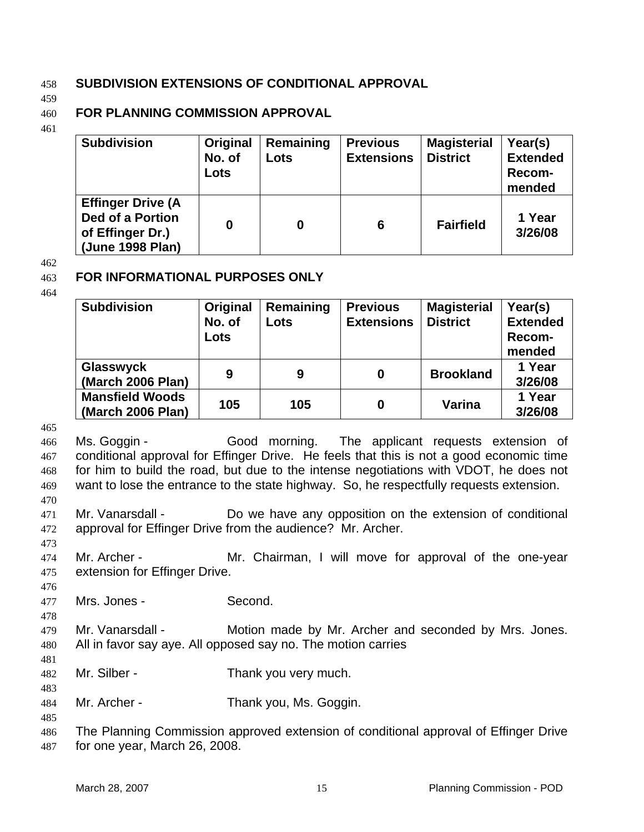## 458 **SUBDIVISION EXTENSIONS OF CONDITIONAL APPROVAL**

459

#### 460 **FOR PLANNING COMMISSION APPROVAL**

461

| <b>Subdivision</b>                                                                          | Original<br>No. of<br>Lots | Remaining<br>Lots | <b>Previous</b><br><b>Extensions</b> | <b>Magisterial</b><br><b>District</b> | Year(s)<br><b>Extended</b><br>Recom-<br>mended |
|---------------------------------------------------------------------------------------------|----------------------------|-------------------|--------------------------------------|---------------------------------------|------------------------------------------------|
| <b>Effinger Drive (A</b><br><b>Ded of a Portion</b><br>of Effinger Dr.)<br>(June 1998 Plan) | 0                          |                   | 6                                    | <b>Fairfield</b>                      | 1 Year<br>3/26/08                              |

### 462

#### 463 **FOR INFORMATIONAL PURPOSES ONLY**

464

| <b>Subdivision</b>                          | Original<br>No. of<br>Lots | Remaining<br>Lots | <b>Previous</b><br><b>Extensions</b> | <b>Magisterial</b><br><b>District</b> | Year(s)<br><b>Extended</b><br>Recom-<br>mended |
|---------------------------------------------|----------------------------|-------------------|--------------------------------------|---------------------------------------|------------------------------------------------|
| Glasswyck<br>(March 2006 Plan)              | 9                          | 9                 | 0                                    | <b>Brookland</b>                      | 1 Year<br>3/26/08                              |
| <b>Mansfield Woods</b><br>(March 2006 Plan) | 105                        | 105               | 0                                    | Varina                                | 1 Year<br>3/26/08                              |

465

466 467 468 469 470 Ms. Goggin - Good morning. The applicant requests extension of conditional approval for Effinger Drive. He feels that this is not a good economic time for him to build the road, but due to the intense negotiations with VDOT, he does not want to lose the entrance to the state highway. So, he respectfully requests extension.

471 472 Mr. Vanarsdall - Do we have any opposition on the extension of conditional approval for Effinger Drive from the audience? Mr. Archer.

473

476

474 475 Mr. Archer - Mr. Chairman, I will move for approval of the one-year extension for Effinger Drive.

477 Mrs. Jones - Second.

- 478 479 480 Mr. Vanarsdall - Motion made by Mr. Archer and seconded by Mrs. Jones. All in favor say aye. All opposed say no. The motion carries
	- 482 Mr. Silber - Thank you very much.
	- 484 Mr. Archer - Thank you, Ms. Goggin.
	- 485

481

483

486 487 The Planning Commission approved extension of conditional approval of Effinger Drive for one year, March 26, 2008.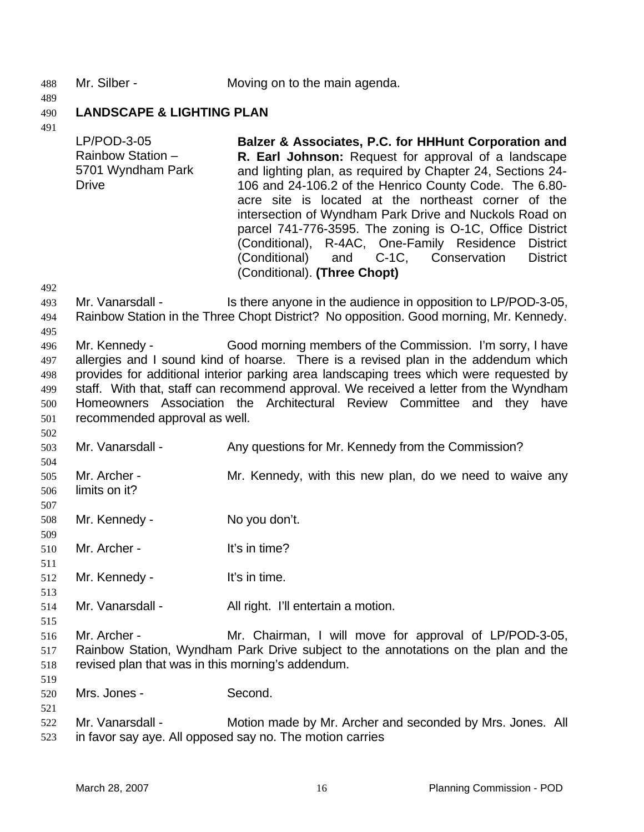- 488 Mr. Silber Moving on to the main agenda.
- 490 **LANDSCAPE & LIGHTING PLAN**
- 491

489

| LP/POD-3-05<br>Rainbow Station -<br>5701 Wyndham Park<br>Drive | Balzer & Associates, P.C. for HHHunt Corporation and<br>R. Earl Johnson: Request for approval of a landscape<br>and lighting plan, as required by Chapter 24, Sections 24-<br>106 and 24-106.2 of the Henrico County Code. The 6.80-<br>acre site is located at the northeast corner of the<br>intersection of Wyndham Park Drive and Nuckols Road on<br>parcel 741-776-3595. The zoning is O-1C, Office District<br>(Conditional), R-4AC, One-Family Residence District<br>(Conditional) and C-1C, Conservation District<br>(Conditional). (Three Chopt) |
|----------------------------------------------------------------|-----------------------------------------------------------------------------------------------------------------------------------------------------------------------------------------------------------------------------------------------------------------------------------------------------------------------------------------------------------------------------------------------------------------------------------------------------------------------------------------------------------------------------------------------------------|
|                                                                |                                                                                                                                                                                                                                                                                                                                                                                                                                                                                                                                                           |

492

502

507

511

513

515

519

- 493 494 495 Mr. Vanarsdall - Is there anyone in the audience in opposition to LP/POD-3-05, Rainbow Station in the Three Chopt District? No opposition. Good morning, Mr. Kennedy.
- 496 497 498 499 500 501 Mr. Kennedy - Good morning members of the Commission. I'm sorry, I have allergies and I sound kind of hoarse. There is a revised plan in the addendum which provides for additional interior parking area landscaping trees which were requested by staff. With that, staff can recommend approval. We received a letter from the Wyndham Homeowners Association the Architectural Review Committee and they have recommended approval as well.
- 503 Mr. Vanarsdall - Any questions for Mr. Kennedy from the Commission?
- 504 505 506 Mr. Archer - The Mr. Kennedy, with this new plan, do we need to waive any limits on it?
- 508 Mr. Kennedy - No you don't.
- 509 510 Mr. Archer - It's in time?
- 512 Mr. Kennedy - It's in time.
- 514 Mr. Vanarsdall - All right. I'll entertain a motion.
- 516 517 518 Mr. Archer - **Mr. Chairman, I will move for approval of LP/POD-3-05,** Rainbow Station, Wyndham Park Drive subject to the annotations on the plan and the revised plan that was in this morning's addendum.
- 520 Mrs. Jones - Second.
- 522 523 Mr. Vanarsdall - Motion made by Mr. Archer and seconded by Mrs. Jones. All in favor say aye. All opposed say no. The motion carries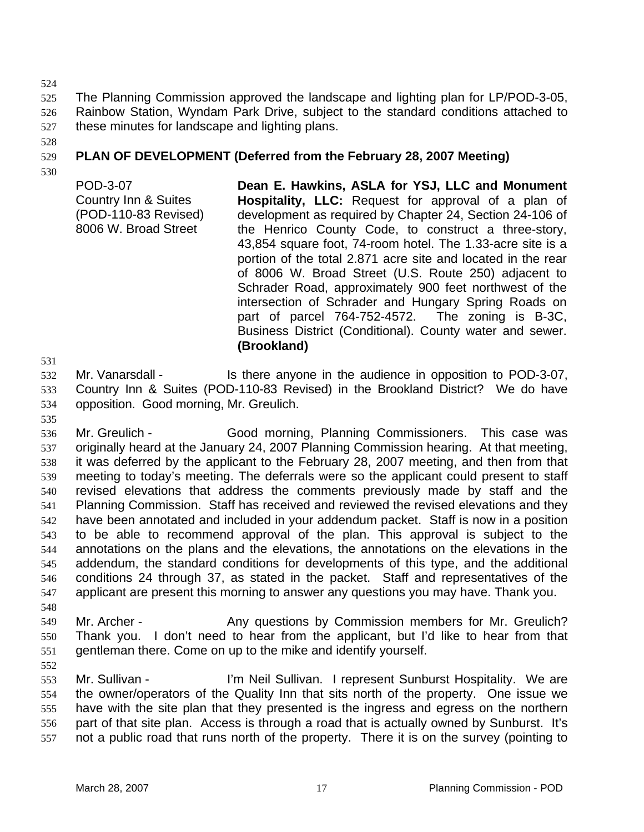524

525 526 527 The Planning Commission approved the landscape and lighting plan for LP/POD-3-05, Rainbow Station, Wyndam Park Drive, subject to the standard conditions attached to these minutes for landscape and lighting plans.

528

#### 529 **PLAN OF DEVELOPMENT (Deferred from the February 28, 2007 Meeting)**

530

POD-3-07 Country Inn & Suites (POD-110-83 Revised) 8006 W. Broad Street **Dean E. Hawkins, ASLA for YSJ, LLC and Monument Hospitality, LLC:** Request for approval of a plan of development as required by Chapter 24, Section 24-106 of the Henrico County Code, to construct a three-story, 43,854 square foot, 74-room hotel. The 1.33-acre site is a portion of the total 2.871 acre site and located in the rear of 8006 W. Broad Street (U.S. Route 250) adjacent to Schrader Road, approximately 900 feet northwest of the intersection of Schrader and Hungary Spring Roads on part of parcel 764-752-4572. The zoning is B-3C, Business District (Conditional). County water and sewer. **(Brookland)** 

531

532 533 534 Mr. Vanarsdall - Is there anyone in the audience in opposition to POD-3-07, Country Inn & Suites (POD-110-83 Revised) in the Brookland District? We do have opposition. Good morning, Mr. Greulich.

535

536 537 538 539 540 541 542 543 544 545 546 547 548 Mr. Greulich - Good morning, Planning Commissioners. This case was originally heard at the January 24, 2007 Planning Commission hearing. At that meeting, it was deferred by the applicant to the February 28, 2007 meeting, and then from that meeting to today's meeting. The deferrals were so the applicant could present to staff revised elevations that address the comments previously made by staff and the Planning Commission. Staff has received and reviewed the revised elevations and they have been annotated and included in your addendum packet. Staff is now in a position to be able to recommend approval of the plan. This approval is subject to the annotations on the plans and the elevations, the annotations on the elevations in the addendum, the standard conditions for developments of this type, and the additional conditions 24 through 37, as stated in the packet. Staff and representatives of the applicant are present this morning to answer any questions you may have. Thank you.

549 550 551 Mr. Archer - Any questions by Commission members for Mr. Greulich? Thank you. I don't need to hear from the applicant, but I'd like to hear from that gentleman there. Come on up to the mike and identify yourself.

552

553 554 555 556 557 Mr. Sullivan - The I'm Neil Sullivan. I represent Sunburst Hospitality. We are the owner/operators of the Quality Inn that sits north of the property. One issue we have with the site plan that they presented is the ingress and egress on the northern part of that site plan. Access is through a road that is actually owned by Sunburst. It's not a public road that runs north of the property. There it is on the survey (pointing to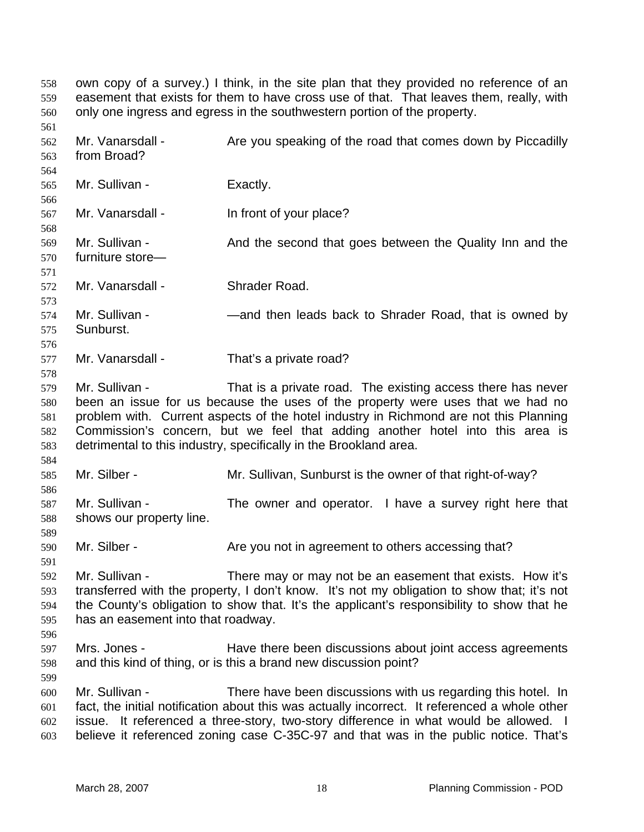own copy of a survey.) I think, in the site plan that they provided no reference of an easement that exists for them to have cross use of that. That leaves them, really, with only one ingress and egress in the southwestern portion of the property. 558 559 560 561 562 563 564 565 566 567 568 569 570 571 572 573 574 575 576 577 578 579 580 581 582 583 584 585 586 587 588 589 590 591 592 593 594 595 596 597 598 599 600 601 602 603 Mr. Vanarsdall - Are you speaking of the road that comes down by Piccadilly from Broad? Mr. Sullivan - Exactly. Mr. Vanarsdall - In front of your place? Mr. Sullivan - And the second that goes between the Quality Inn and the furniture store— Mr. Vanarsdall - Shrader Road. Mr. Sullivan - — — — — and then leads back to Shrader Road, that is owned by Sunburst. Mr. Vanarsdall - That's a private road? Mr. Sullivan - That is a private road. The existing access there has never been an issue for us because the uses of the property were uses that we had no problem with. Current aspects of the hotel industry in Richmond are not this Planning Commission's concern, but we feel that adding another hotel into this area is detrimental to this industry, specifically in the Brookland area. Mr. Silber - Mr. Sullivan, Sunburst is the owner of that right-of-way? Mr. Sullivan - The owner and operator. I have a survey right here that shows our property line. Mr. Silber - Are you not in agreement to others accessing that? Mr. Sullivan - There may or may not be an easement that exists. How it's transferred with the property, I don't know. It's not my obligation to show that; it's not the County's obligation to show that. It's the applicant's responsibility to show that he has an easement into that roadway. Mrs. Jones - The Have there been discussions about joint access agreements and this kind of thing, or is this a brand new discussion point? Mr. Sullivan - There have been discussions with us regarding this hotel. In fact, the initial notification about this was actually incorrect. It referenced a whole other issue. It referenced a three-story, two-story difference in what would be allowed. I believe it referenced zoning case C-35C-97 and that was in the public notice. That's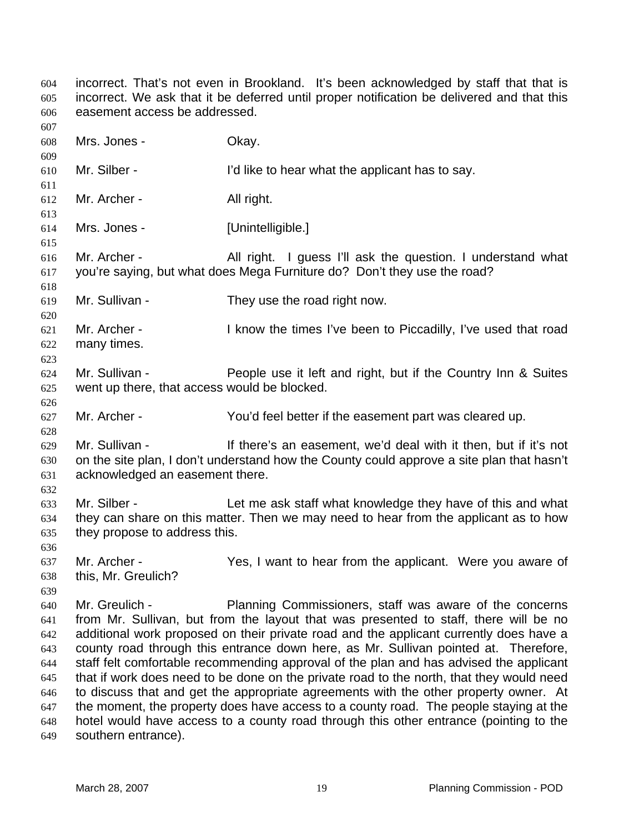incorrect. That's not even in Brookland. It's been acknowledged by staff that that is incorrect. We ask that it be deferred until proper notification be delivered and that this easement access be addressed. 604 605 606 607 608 609 610 611 612 613 614 615 616 617 618 619 620 621 622 623 624 625 626 627 628 629 630 631 632 633 634 635 636 637 638 639 640 641 642 643 644 645 646 647 648 649 Mrs. Jones - Ckay. Mr. Silber - I'd like to hear what the applicant has to say. Mr. Archer - All right. Mrs. Jones - [Unintelligible.] Mr. Archer - All right. I guess I'll ask the question. I understand what you're saying, but what does Mega Furniture do? Don't they use the road? Mr. Sullivan - They use the road right now. Mr. Archer - I know the times I've been to Piccadilly, I've used that road many times. Mr. Sullivan - People use it left and right, but if the Country Inn & Suites went up there, that access would be blocked. Mr. Archer - You'd feel better if the easement part was cleared up. Mr. Sullivan - If there's an easement, we'd deal with it then, but if it's not on the site plan, I don't understand how the County could approve a site plan that hasn't acknowledged an easement there. Mr. Silber - Let me ask staff what knowledge they have of this and what they can share on this matter. Then we may need to hear from the applicant as to how they propose to address this. Mr. Archer - The Yes, I want to hear from the applicant. Were you aware of this, Mr. Greulich? Mr. Greulich - Planning Commissioners, staff was aware of the concerns from Mr. Sullivan, but from the layout that was presented to staff, there will be no additional work proposed on their private road and the applicant currently does have a county road through this entrance down here, as Mr. Sullivan pointed at. Therefore, staff felt comfortable recommending approval of the plan and has advised the applicant that if work does need to be done on the private road to the north, that they would need to discuss that and get the appropriate agreements with the other property owner. At the moment, the property does have access to a county road. The people staying at the hotel would have access to a county road through this other entrance (pointing to the southern entrance).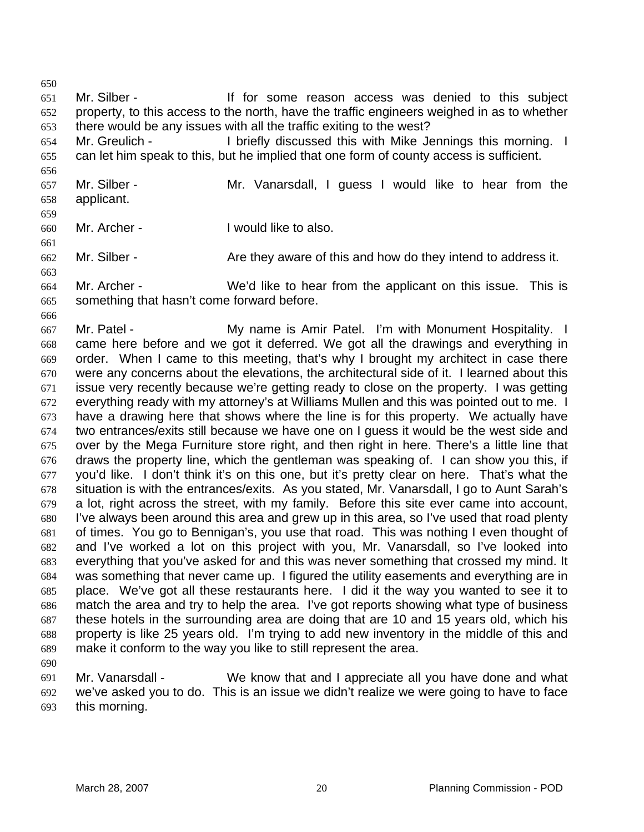651 652 653 Mr. Silber - The Mr. Silber - If for some reason access was denied to this subject property, to this access to the north, have the traffic engineers weighed in as to whether there would be any issues with all the traffic exiting to the west?

654 655 Mr. Greulich - I briefly discussed this with Mike Jennings this morning. I can let him speak to this, but he implied that one form of county access is sufficient.

656 657 658 Mr. Silber - The Mr. Vanarsdall, I guess I would like to hear from the applicant.

659

661

663

650

660 Mr. Archer - Twould like to also.

662 Mr. Silber - **Are they aware of this and how do they intend to address it.** 

664 665 Mr. Archer - We'd like to hear from the applicant on this issue. This is something that hasn't come forward before.

666

667 668 669 670 671 672 673 674 675 676 677 678 679 680 681 682 683 684 685 686 687 688 689 Mr. Patel - **My name is Amir Patel.** I'm with Monument Hospitality. I came here before and we got it deferred. We got all the drawings and everything in order. When I came to this meeting, that's why I brought my architect in case there were any concerns about the elevations, the architectural side of it. I learned about this issue very recently because we're getting ready to close on the property. I was getting everything ready with my attorney's at Williams Mullen and this was pointed out to me. I have a drawing here that shows where the line is for this property. We actually have two entrances/exits still because we have one on I guess it would be the west side and over by the Mega Furniture store right, and then right in here. There's a little line that draws the property line, which the gentleman was speaking of. I can show you this, if you'd like. I don't think it's on this one, but it's pretty clear on here. That's what the situation is with the entrances/exits. As you stated, Mr. Vanarsdall, I go to Aunt Sarah's a lot, right across the street, with my family. Before this site ever came into account, I've always been around this area and grew up in this area, so I've used that road plenty of times. You go to Bennigan's, you use that road. This was nothing I even thought of and I've worked a lot on this project with you, Mr. Vanarsdall, so I've looked into everything that you've asked for and this was never something that crossed my mind. It was something that never came up. I figured the utility easements and everything are in place. We've got all these restaurants here. I did it the way you wanted to see it to match the area and try to help the area. I've got reports showing what type of business these hotels in the surrounding area are doing that are 10 and 15 years old, which his property is like 25 years old. I'm trying to add new inventory in the middle of this and make it conform to the way you like to still represent the area.

690

691 692 693 Mr. Vanarsdall - We know that and I appreciate all you have done and what we've asked you to do. This is an issue we didn't realize we were going to have to face this morning.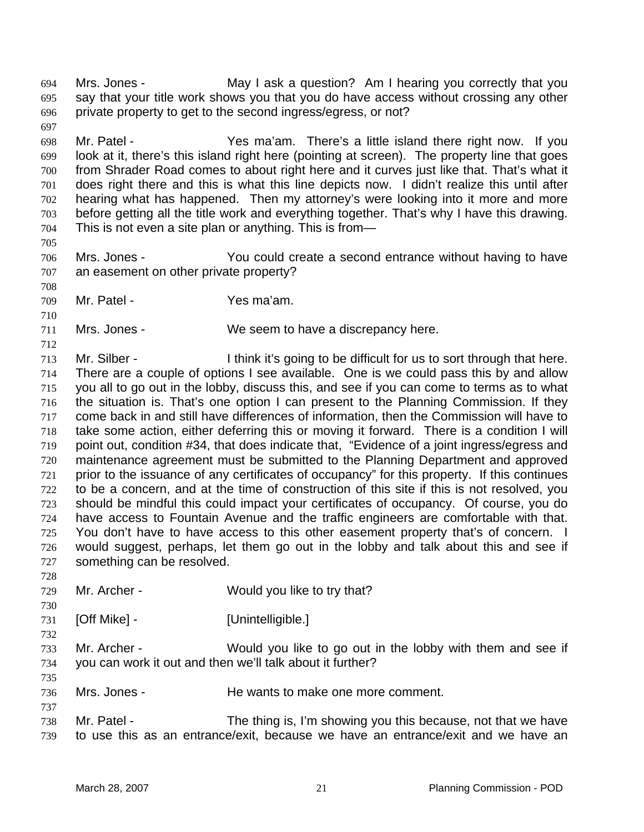Mrs. Jones - **May I ask a question?** Am I hearing you correctly that you say that your title work shows you that you do have access without crossing any other private property to get to the second ingress/egress, or not? 694 695 696 697

698 699 700 701 702 703 704 Mr. Patel - Yes ma'am. There's a little island there right now. If you look at it, there's this island right here (pointing at screen). The property line that goes from Shrader Road comes to about right here and it curves just like that. That's what it does right there and this is what this line depicts now. I didn't realize this until after hearing what has happened. Then my attorney's were looking into it more and more before getting all the title work and everything together. That's why I have this drawing. This is not even a site plan or anything. This is from—

706 707 Mrs. Jones - You could create a second entrance without having to have an easement on other private property?

709 Mr. Patel - Yes ma'am.

711 Mrs. Jones - We seem to have a discrepancy here.

712 713 714 715 716 717 718 719 720 721 722 723 724 725 726 727 Mr. Silber - I think it's going to be difficult for us to sort through that here. There are a couple of options I see available. One is we could pass this by and allow you all to go out in the lobby, discuss this, and see if you can come to terms as to what the situation is. That's one option I can present to the Planning Commission. If they come back in and still have differences of information, then the Commission will have to take some action, either deferring this or moving it forward. There is a condition I will point out, condition #34, that does indicate that, "Evidence of a joint ingress/egress and maintenance agreement must be submitted to the Planning Department and approved prior to the issuance of any certificates of occupancy" for this property. If this continues to be a concern, and at the time of construction of this site if this is not resolved, you should be mindful this could impact your certificates of occupancy. Of course, you do have access to Fountain Avenue and the traffic engineers are comfortable with that. You don't have to have access to this other easement property that's of concern. I would suggest, perhaps, let them go out in the lobby and talk about this and see if something can be resolved.

- 729 Mr. Archer - Would you like to try that?
- 731 [Off Mike] - [Unintelligible.]
- 732

735

737

728

730

705

708

710

733 734 Mr. Archer - Would you like to go out in the lobby with them and see if you can work it out and then we'll talk about it further?

- 736 Mrs. Jones - He wants to make one more comment.
- 738 739 Mr. Patel - The thing is, I'm showing you this because, not that we have to use this as an entrance/exit, because we have an entrance/exit and we have an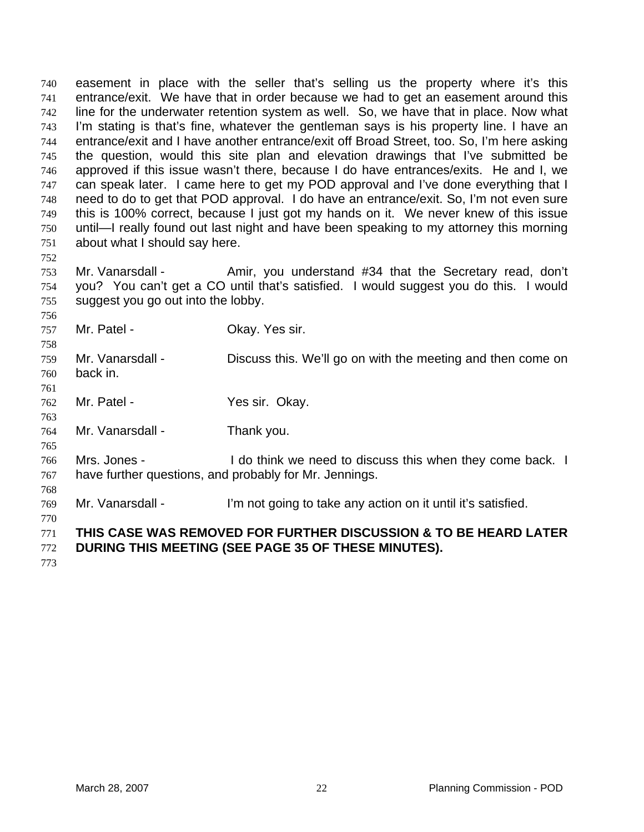easement in place with the seller that's selling us the property where it's this entrance/exit. We have that in order because we had to get an easement around this line for the underwater retention system as well. So, we have that in place. Now what I'm stating is that's fine, whatever the gentleman says is his property line. I have an entrance/exit and I have another entrance/exit off Broad Street, too. So, I'm here asking the question, would this site plan and elevation drawings that I've submitted be approved if this issue wasn't there, because I do have entrances/exits. He and I, we can speak later. I came here to get my POD approval and I've done everything that I need to do to get that POD approval. I do have an entrance/exit. So, I'm not even sure this is 100% correct, because I just got my hands on it. We never knew of this issue until—I really found out last night and have been speaking to my attorney this morning about what I should say here. 740 741 742 743 744 745 746 747 748 749 750 751

753 754 755 Mr. Vanarsdall - Amir, you understand #34 that the Secretary read, don't you? You can't get a CO until that's satisfied. I would suggest you do this. I would suggest you go out into the lobby.

757 Mr. Patel - Chay. Yes sir.

759 760 Mr. Vanarsdall - Discuss this. We'll go on with the meeting and then come on back in.

762 Mr. Patel - The Yes sir. Okay.

764 Mr. Vanarsdall - Thank you.

766 767 Mrs. Jones - The othink we need to discuss this when they come back. I have further questions, and probably for Mr. Jennings.

769 Mr. Vanarsdall - I'm not going to take any action on it until it's satisfied.

770

752

756

758

761

763

765

768

771 **THIS CASE WAS REMOVED FOR FURTHER DISCUSSION & TO BE HEARD LATER** 

772 **DURING THIS MEETING (SEE PAGE 35 OF THESE MINUTES).**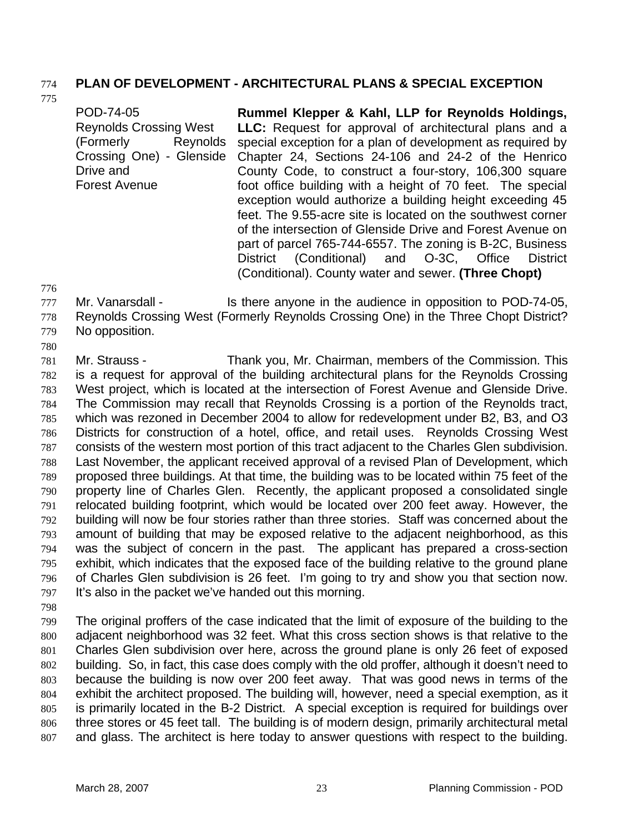## 774 **PLAN OF DEVELOPMENT - ARCHITECTURAL PLANS & SPECIAL EXCEPTION**

775

| POD-74-05                     | Rummel Klepper & Kahl, LLP for Reynolds Holdings,             |
|-------------------------------|---------------------------------------------------------------|
| <b>Reynolds Crossing West</b> | <b>LLC:</b> Request for approval of architectural plans and a |
| (Formerly<br>Reynolds         | special exception for a plan of development as required by    |
| Crossing One) - Glenside      | Chapter 24, Sections 24-106 and 24-2 of the Henrico           |
| Drive and                     | County Code, to construct a four-story, 106,300 square        |
| <b>Forest Avenue</b>          | foot office building with a height of 70 feet. The special    |
|                               | exception would authorize a building height exceeding 45      |
|                               | feet. The 9.55-acre site is located on the southwest corner   |
|                               | of the intersection of Glenside Drive and Forest Avenue on    |
|                               | part of parcel 765-744-6557. The zoning is B-2C, Business     |
|                               | District (Conditional) and O-3C, Office<br>District           |

(Conditional). County water and sewer. **(Three Chopt)** 

776

777 778 779 Mr. Vanarsdall - Is there anyone in the audience in opposition to POD-74-05, Reynolds Crossing West (Formerly Reynolds Crossing One) in the Three Chopt District? No opposition.

780

781 782 783 784 785 786 787 788 789 790 791 792 793 794 795 796 797 Mr. Strauss - Thank you, Mr. Chairman, members of the Commission. This is a request for approval of the building architectural plans for the Reynolds Crossing West project, which is located at the intersection of Forest Avenue and Glenside Drive. The Commission may recall that Reynolds Crossing is a portion of the Reynolds tract, which was rezoned in December 2004 to allow for redevelopment under B2, B3, and O3 Districts for construction of a hotel, office, and retail uses. Reynolds Crossing West consists of the western most portion of this tract adjacent to the Charles Glen subdivision. Last November, the applicant received approval of a revised Plan of Development, which proposed three buildings. At that time, the building was to be located within 75 feet of the property line of Charles Glen. Recently, the applicant proposed a consolidated single relocated building footprint, which would be located over 200 feet away. However, the building will now be four stories rather than three stories. Staff was concerned about the amount of building that may be exposed relative to the adjacent neighborhood, as this was the subject of concern in the past. The applicant has prepared a cross-section exhibit, which indicates that the exposed face of the building relative to the ground plane of Charles Glen subdivision is 26 feet. I'm going to try and show you that section now. It's also in the packet we've handed out this morning.

798

799 800 801 802 803 804 805 806 807 The original proffers of the case indicated that the limit of exposure of the building to the adjacent neighborhood was 32 feet. What this cross section shows is that relative to the Charles Glen subdivision over here, across the ground plane is only 26 feet of exposed building. So, in fact, this case does comply with the old proffer, although it doesn't need to because the building is now over 200 feet away. That was good news in terms of the exhibit the architect proposed. The building will, however, need a special exemption, as it is primarily located in the B-2 District. A special exception is required for buildings over three stores or 45 feet tall. The building is of modern design, primarily architectural metal and glass. The architect is here today to answer questions with respect to the building.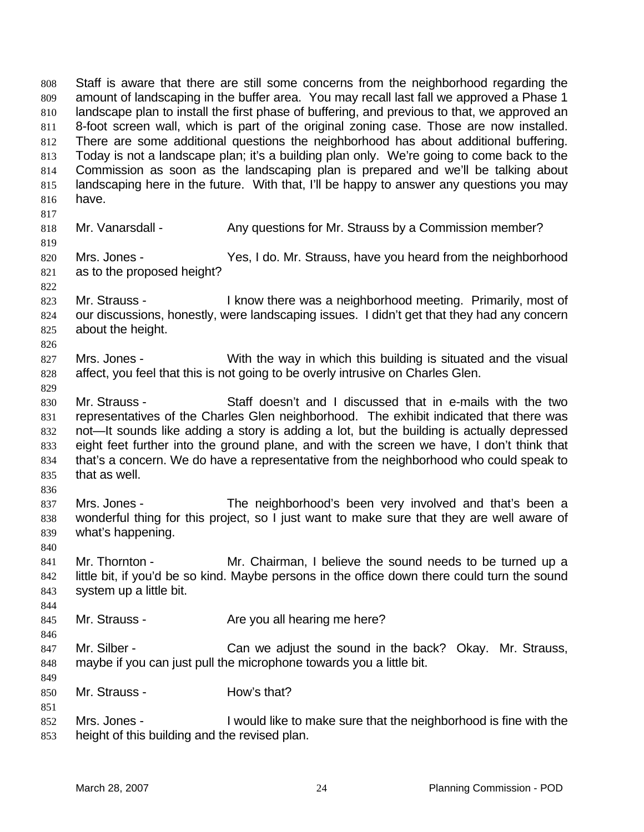Staff is aware that there are still some concerns from the neighborhood regarding the amount of landscaping in the buffer area. You may recall last fall we approved a Phase 1 landscape plan to install the first phase of buffering, and previous to that, we approved an 8-foot screen wall, which is part of the original zoning case. Those are now installed. There are some additional questions the neighborhood has about additional buffering. Today is not a landscape plan; it's a building plan only. We're going to come back to the Commission as soon as the landscaping plan is prepared and we'll be talking about landscaping here in the future. With that, I'll be happy to answer any questions you may have. 808 809 810 811 812 813 814 815 816 817 818 819 820 821 822 823 824 825 826 827 828 829 830 831 832 833 834 835 836 837 838 839 840 841 842 843 844 845 846 847 848 849 850 851 852 853 Mr. Vanarsdall - Any questions for Mr. Strauss by a Commission member? Mrs. Jones - Yes, I do. Mr. Strauss, have you heard from the neighborhood as to the proposed height? Mr. Strauss - I know there was a neighborhood meeting. Primarily, most of our discussions, honestly, were landscaping issues. I didn't get that they had any concern about the height. Mrs. Jones - With the way in which this building is situated and the visual affect, you feel that this is not going to be overly intrusive on Charles Glen. Mr. Strauss - Staff doesn't and I discussed that in e-mails with the two representatives of the Charles Glen neighborhood. The exhibit indicated that there was not—It sounds like adding a story is adding a lot, but the building is actually depressed eight feet further into the ground plane, and with the screen we have, I don't think that that's a concern. We do have a representative from the neighborhood who could speak to that as well. Mrs. Jones - The neighborhood's been very involved and that's been a wonderful thing for this project, so I just want to make sure that they are well aware of what's happening. Mr. Thornton - The Mr. Chairman, I believe the sound needs to be turned up a little bit, if you'd be so kind. Maybe persons in the office down there could turn the sound system up a little bit. Mr. Strauss - Are you all hearing me here? Mr. Silber - Can we adjust the sound in the back? Okay. Mr. Strauss, maybe if you can just pull the microphone towards you a little bit. Mr. Strauss - How's that? Mrs. Jones - I would like to make sure that the neighborhood is fine with the height of this building and the revised plan.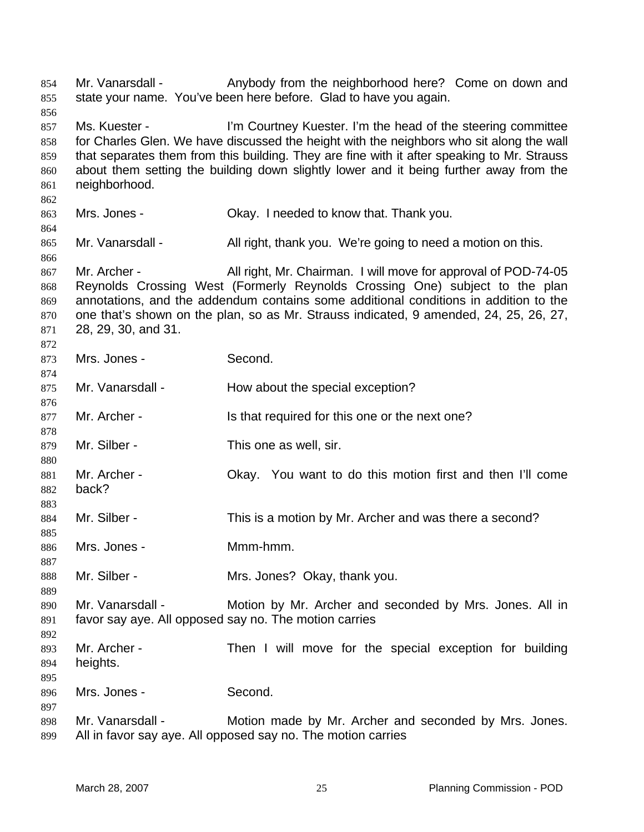Mr. Vanarsdall - Anybody from the neighborhood here? Come on down and state your name. You've been here before. Glad to have you again. 854 855 856 857 858 859 860 861 862 863 864 865 866 867 868 869 870 871 872 873 874 875 876 877 878 879 880 881 882 883 884 885 886 887 888 889 890 891 892 893 894 895 896 897 898 899 Ms. Kuester - I'm Courtney Kuester. I'm the head of the steering committee for Charles Glen. We have discussed the height with the neighbors who sit along the wall that separates them from this building. They are fine with it after speaking to Mr. Strauss about them setting the building down slightly lower and it being further away from the neighborhood. Mrs. Jones - Ckay. I needed to know that. Thank you. Mr. Vanarsdall - All right, thank you. We're going to need a motion on this. Mr. Archer - All right, Mr. Chairman. I will move for approval of POD-74-05 Reynolds Crossing West (Formerly Reynolds Crossing One) subject to the plan annotations, and the addendum contains some additional conditions in addition to the one that's shown on the plan, so as Mr. Strauss indicated, 9 amended, 24, 25, 26, 27, 28, 29, 30, and 31. Mrs. Jones - Second. Mr. Vanarsdall - How about the special exception? Mr. Archer - Is that required for this one or the next one? Mr. Silber - This one as well, sir. Mr. Archer - Okay. You want to do this motion first and then I'll come back? Mr. Silber - This is a motion by Mr. Archer and was there a second? Mrs. Jones - Mmm-hmm. Mr. Silber - Mrs. Jones? Okay, thank you. Mr. Vanarsdall - Motion by Mr. Archer and seconded by Mrs. Jones. All in favor say aye. All opposed say no. The motion carries Mr. Archer - Then I will move for the special exception for building heights. Mrs. Jones - Second. Mr. Vanarsdall - Motion made by Mr. Archer and seconded by Mrs. Jones. All in favor say aye. All opposed say no. The motion carries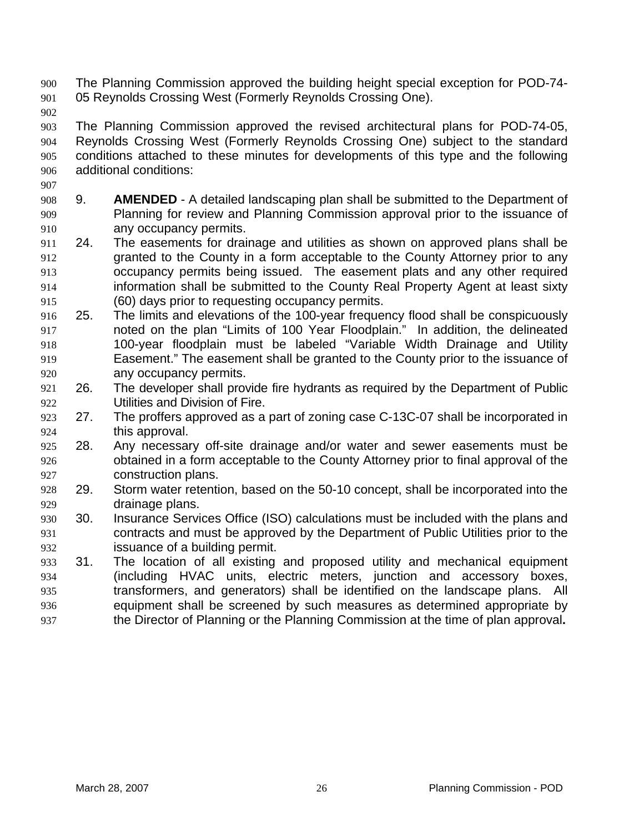- The Planning Commission approved the building height special exception for POD-74- 05 Reynolds Crossing West (Formerly Reynolds Crossing One). 900 901
- 902

- 903 904 905 906 The Planning Commission approved the revised architectural plans for POD-74-05, Reynolds Crossing West (Formerly Reynolds Crossing One) subject to the standard conditions attached to these minutes for developments of this type and the following additional conditions:
- 908 909 910 9. **AMENDED** - A detailed landscaping plan shall be submitted to the Department of Planning for review and Planning Commission approval prior to the issuance of any occupancy permits.
- 911 912 913 914 915 24. The easements for drainage and utilities as shown on approved plans shall be granted to the County in a form acceptable to the County Attorney prior to any occupancy permits being issued. The easement plats and any other required information shall be submitted to the County Real Property Agent at least sixty (60) days prior to requesting occupancy permits.
- 916 917 918 919 920 25. The limits and elevations of the 100-year frequency flood shall be conspicuously noted on the plan "Limits of 100 Year Floodplain." In addition, the delineated 100-year floodplain must be labeled "Variable Width Drainage and Utility Easement." The easement shall be granted to the County prior to the issuance of any occupancy permits.
- 921 922 26. The developer shall provide fire hydrants as required by the Department of Public Utilities and Division of Fire.
- 923 924 27. The proffers approved as a part of zoning case C-13C-07 shall be incorporated in this approval.
- 925 926 927 28. Any necessary off-site drainage and/or water and sewer easements must be obtained in a form acceptable to the County Attorney prior to final approval of the construction plans.
- 928 929 29. Storm water retention, based on the 50-10 concept, shall be incorporated into the drainage plans.
- 930 931 932 30. Insurance Services Office (ISO) calculations must be included with the plans and contracts and must be approved by the Department of Public Utilities prior to the issuance of a building permit.
- 933 934 935 936 937 31. The location of all existing and proposed utility and mechanical equipment (including HVAC units, electric meters, junction and accessory boxes, transformers, and generators) shall be identified on the landscape plans. All equipment shall be screened by such measures as determined appropriate by the Director of Planning or the Planning Commission at the time of plan approval**.**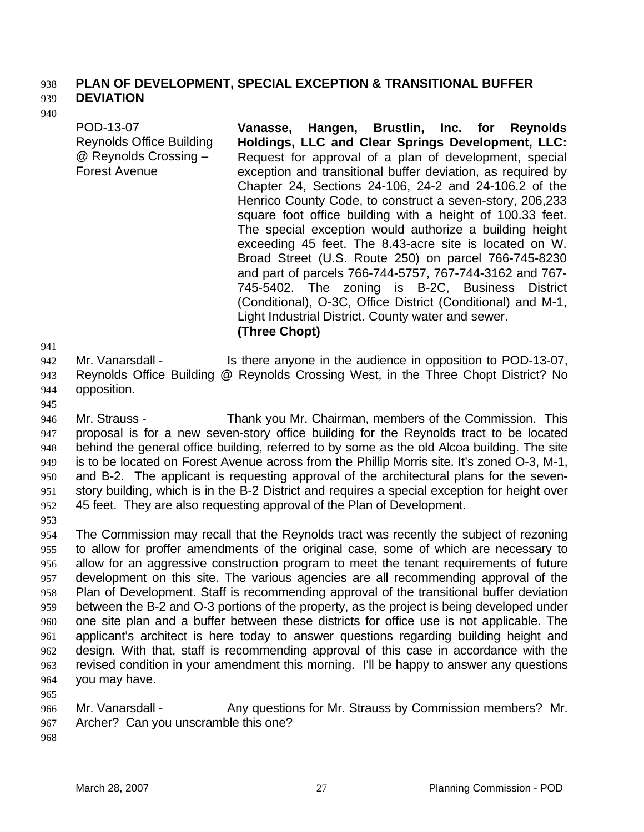### 938 **PLAN OF DEVELOPMENT, SPECIAL EXCEPTION & TRANSITIONAL BUFFER DEVIATION**

### 939 940

POD-13-07 Reynolds Office Building @ Reynolds Crossing – Forest Avenue

**Vanasse, Hangen, Brustlin, Inc. for Reynolds Holdings, LLC and Clear Springs Development, LLC:**  Request for approval of a plan of development, special exception and transitional buffer deviation, as required by Chapter 24, Sections 24-106, 24-2 and 24-106.2 of the Henrico County Code, to construct a seven-story, 206,233 square foot office building with a height of 100.33 feet. The special exception would authorize a building height exceeding 45 feet. The 8.43-acre site is located on W. Broad Street (U.S. Route 250) on parcel 766-745-8230 and part of parcels 766-744-5757, 767-744-3162 and 767- 745-5402. The zoning is B-2C, Business District (Conditional), O-3C, Office District (Conditional) and M-1, Light Industrial District. County water and sewer. **(Three Chopt)** 

941

942 943 944 Mr. Vanarsdall - Is there anyone in the audience in opposition to POD-13-07, Reynolds Office Building @ Reynolds Crossing West, in the Three Chopt District? No opposition.

945

946 947 948 949 950 951 952 Mr. Strauss - Thank you Mr. Chairman, members of the Commission. This proposal is for a new seven-story office building for the Reynolds tract to be located behind the general office building, referred to by some as the old Alcoa building. The site is to be located on Forest Avenue across from the Phillip Morris site. It's zoned O-3, M-1, and B-2. The applicant is requesting approval of the architectural plans for the sevenstory building, which is in the B-2 District and requires a special exception for height over 45 feet. They are also requesting approval of the Plan of Development.

953

954 955 956 957 958 959 960 961 962 963 964 The Commission may recall that the Reynolds tract was recently the subject of rezoning to allow for proffer amendments of the original case, some of which are necessary to allow for an aggressive construction program to meet the tenant requirements of future development on this site. The various agencies are all recommending approval of the Plan of Development. Staff is recommending approval of the transitional buffer deviation between the B-2 and O-3 portions of the property, as the project is being developed under one site plan and a buffer between these districts for office use is not applicable. The applicant's architect is here today to answer questions regarding building height and design. With that, staff is recommending approval of this case in accordance with the revised condition in your amendment this morning. I'll be happy to answer any questions you may have.

966 967 Mr. Vanarsdall - Any questions for Mr. Strauss by Commission members? Mr. Archer? Can you unscramble this one?

968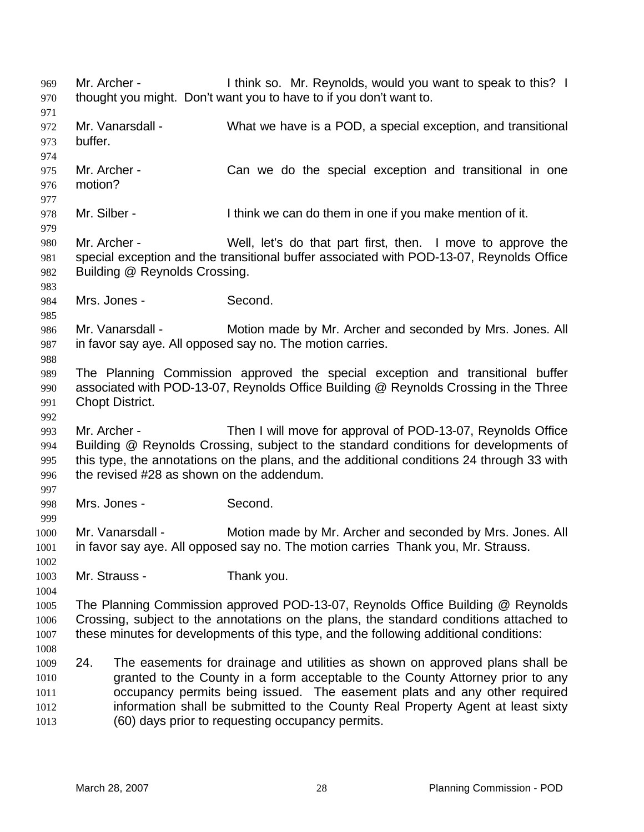Mr. Archer - Think so. Mr. Reynolds, would you want to speak to this? I thought you might. Don't want you to have to if you don't want to. 969 970 971 972 973 974 975 976 977 978 979 980 981 982 983 984 985 986 987 988 989 990 991 992 993 994 995 996 997 998 999 1000 1001 1002 1003 1004 1005 1006 1007 1008 1009 1010 1011 1012 1013 Mr. Vanarsdall - What we have is a POD, a special exception, and transitional buffer. Mr. Archer - Can we do the special exception and transitional in one motion? Mr. Silber - I think we can do them in one if you make mention of it. Mr. Archer - Well, let's do that part first, then. I move to approve the special exception and the transitional buffer associated with POD-13-07, Reynolds Office Building @ Reynolds Crossing. Mrs. Jones - Second. Mr. Vanarsdall - Motion made by Mr. Archer and seconded by Mrs. Jones. All in favor say aye. All opposed say no. The motion carries. The Planning Commission approved the special exception and transitional buffer associated with POD-13-07, Reynolds Office Building @ Reynolds Crossing in the Three Chopt District. Mr. Archer - Then I will move for approval of POD-13-07, Reynolds Office Building @ Reynolds Crossing, subject to the standard conditions for developments of this type, the annotations on the plans, and the additional conditions 24 through 33 with the revised #28 as shown on the addendum. Mrs. Jones - Second. Mr. Vanarsdall - Motion made by Mr. Archer and seconded by Mrs. Jones. All in favor say aye. All opposed say no. The motion carries Thank you, Mr. Strauss. Mr. Strauss - Thank you. The Planning Commission approved POD-13-07, Reynolds Office Building @ Reynolds Crossing, subject to the annotations on the plans, the standard conditions attached to these minutes for developments of this type, and the following additional conditions: 24. The easements for drainage and utilities as shown on approved plans shall be granted to the County in a form acceptable to the County Attorney prior to any occupancy permits being issued. The easement plats and any other required information shall be submitted to the County Real Property Agent at least sixty (60) days prior to requesting occupancy permits.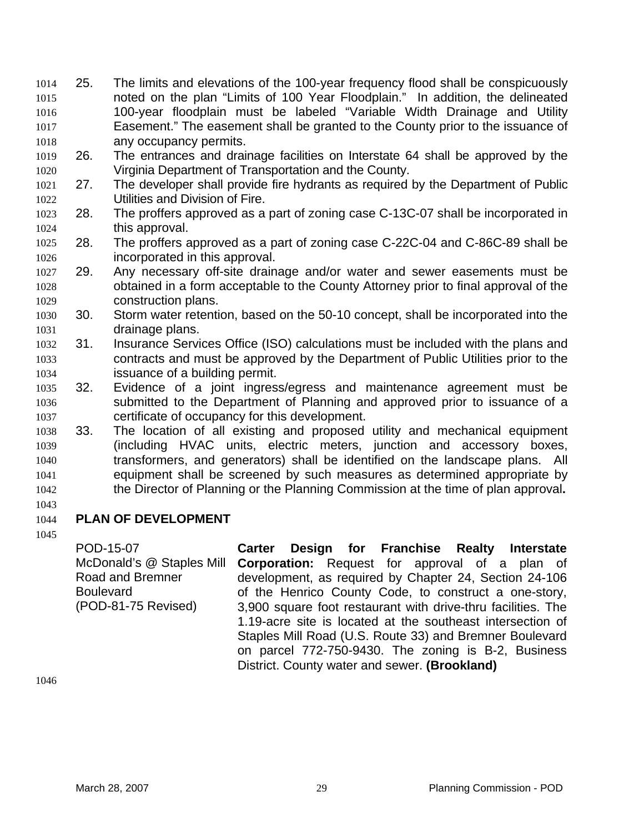- 25. The limits and elevations of the 100-year frequency flood shall be conspicuously noted on the plan "Limits of 100 Year Floodplain." In addition, the delineated 100-year floodplain must be labeled "Variable Width Drainage and Utility Easement." The easement shall be granted to the County prior to the issuance of any occupancy permits. 1014 1015 1016 1017 1018
- 1019 1020 26. The entrances and drainage facilities on Interstate 64 shall be approved by the Virginia Department of Transportation and the County.
- 1021 1022 27. The developer shall provide fire hydrants as required by the Department of Public Utilities and Division of Fire.
- 1023 1024 28. The proffers approved as a part of zoning case C-13C-07 shall be incorporated in this approval.
- 1025 1026 28. The proffers approved as a part of zoning case C-22C-04 and C-86C-89 shall be incorporated in this approval.
- 1027 1028 1029 29. Any necessary off-site drainage and/or water and sewer easements must be obtained in a form acceptable to the County Attorney prior to final approval of the construction plans.
- 1030 1031 30. Storm water retention, based on the 50-10 concept, shall be incorporated into the drainage plans.
- 1032 1033 1034 31. Insurance Services Office (ISO) calculations must be included with the plans and contracts and must be approved by the Department of Public Utilities prior to the issuance of a building permit.
- 1035 1036 1037 32. Evidence of a joint ingress/egress and maintenance agreement must be submitted to the Department of Planning and approved prior to issuance of a certificate of occupancy for this development.
- 1038 1039 1040 1041 1042 33. The location of all existing and proposed utility and mechanical equipment (including HVAC units, electric meters, junction and accessory boxes, transformers, and generators) shall be identified on the landscape plans. All equipment shall be screened by such measures as determined appropriate by the Director of Planning or the Planning Commission at the time of plan approval**.**
- 1043

#### 1044 **PLAN OF DEVELOPMENT**

1045

POD-15-07 McDonald's @ Staples Mill Road and Bremner Boulevard (POD-81-75 Revised)

**Carter Design for Franchise Realty Interstate Corporation:** Request for approval of a plan of development, as required by Chapter 24, Section 24-106 of the Henrico County Code, to construct a one-story, 3,900 square foot restaurant with drive-thru facilities. The 1.19-acre site is located at the southeast intersection of Staples Mill Road (U.S. Route 33) and Bremner Boulevard on parcel 772-750-9430. The zoning is B-2, Business District. County water and sewer. **(Brookland)**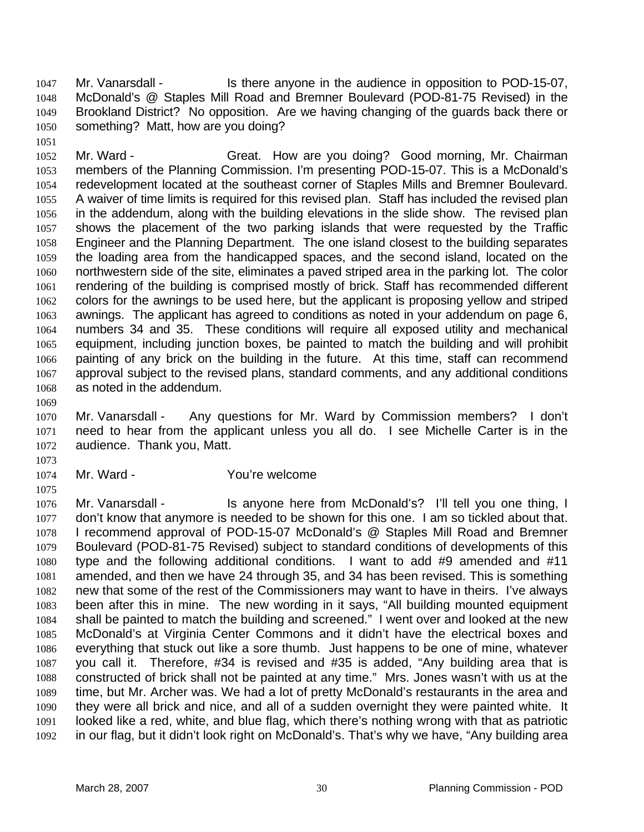Mr. Vanarsdall - Is there anyone in the audience in opposition to POD-15-07, McDonald's @ Staples Mill Road and Bremner Boulevard (POD-81-75 Revised) in the Brookland District? No opposition. Are we having changing of the guards back there or something? Matt, how are you doing? 1047 1048 1049 1050

1052 1053 1054 1055 1056 1057 1058 1059 1060 1061 1062 1063 1064 1065 1066 1067 1068 Mr. Ward - Great. How are you doing? Good morning, Mr. Chairman members of the Planning Commission. I'm presenting POD-15-07. This is a McDonald's redevelopment located at the southeast corner of Staples Mills and Bremner Boulevard. A waiver of time limits is required for this revised plan. Staff has included the revised plan in the addendum, along with the building elevations in the slide show. The revised plan shows the placement of the two parking islands that were requested by the Traffic Engineer and the Planning Department. The one island closest to the building separates the loading area from the handicapped spaces, and the second island, located on the northwestern side of the site, eliminates a paved striped area in the parking lot. The color rendering of the building is comprised mostly of brick. Staff has recommended different colors for the awnings to be used here, but the applicant is proposing yellow and striped awnings. The applicant has agreed to conditions as noted in your addendum on page 6, numbers 34 and 35. These conditions will require all exposed utility and mechanical equipment, including junction boxes, be painted to match the building and will prohibit painting of any brick on the building in the future. At this time, staff can recommend approval subject to the revised plans, standard comments, and any additional conditions as noted in the addendum.

1069

1051

1070 1071 1072 Mr. Vanarsdall - Any questions for Mr. Ward by Commission members? I don't need to hear from the applicant unless you all do. I see Michelle Carter is in the audience. Thank you, Matt.

1073

1075

1074

## Mr. Ward - The You're welcome

1076 1077 1078 1079 1080 1081 1082 1083 1084 1085 1086 1087 1088 1089 1090 1091 1092 Mr. Vanarsdall - Is anyone here from McDonald's? I'll tell you one thing, I don't know that anymore is needed to be shown for this one. I am so tickled about that. I recommend approval of POD-15-07 McDonald's @ Staples Mill Road and Bremner Boulevard (POD-81-75 Revised) subject to standard conditions of developments of this type and the following additional conditions. I want to add #9 amended and #11 amended, and then we have 24 through 35, and 34 has been revised. This is something new that some of the rest of the Commissioners may want to have in theirs. I've always been after this in mine. The new wording in it says, "All building mounted equipment shall be painted to match the building and screened." I went over and looked at the new McDonald's at Virginia Center Commons and it didn't have the electrical boxes and everything that stuck out like a sore thumb. Just happens to be one of mine, whatever you call it. Therefore, #34 is revised and #35 is added, "Any building area that is constructed of brick shall not be painted at any time." Mrs. Jones wasn't with us at the time, but Mr. Archer was. We had a lot of pretty McDonald's restaurants in the area and they were all brick and nice, and all of a sudden overnight they were painted white. It looked like a red, white, and blue flag, which there's nothing wrong with that as patriotic in our flag, but it didn't look right on McDonald's. That's why we have, "Any building area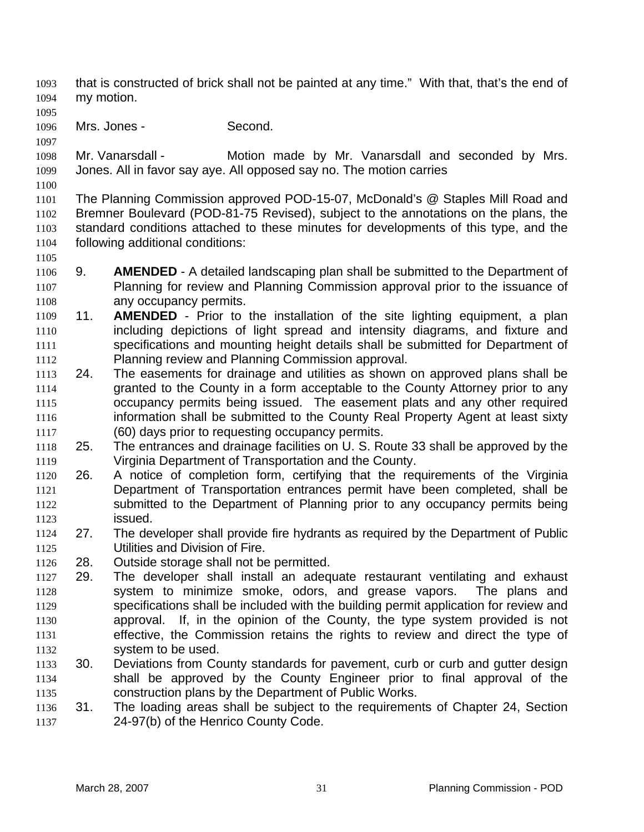- that is constructed of brick shall not be painted at any time." With that, that's the end of my motion. 1093 1094
- 1095
- 1096 Mrs. Jones - Second.
- 1097

1098 1099 Mr. Vanarsdall - Motion made by Mr. Vanarsdall and seconded by Mrs. Jones. All in favor say aye. All opposed say no. The motion carries

1100

1105

1101 1102 1103 1104 The Planning Commission approved POD-15-07, McDonald's @ Staples Mill Road and Bremner Boulevard (POD-81-75 Revised), subject to the annotations on the plans, the standard conditions attached to these minutes for developments of this type, and the following additional conditions:

- 1106 1107 1108 9. **AMENDED** - A detailed landscaping plan shall be submitted to the Department of Planning for review and Planning Commission approval prior to the issuance of any occupancy permits.
- 1109 1110 1111 1112 11. **AMENDED** - Prior to the installation of the site lighting equipment, a plan including depictions of light spread and intensity diagrams, and fixture and specifications and mounting height details shall be submitted for Department of Planning review and Planning Commission approval.
- 1113 1114 1115 1116 1117 24. The easements for drainage and utilities as shown on approved plans shall be granted to the County in a form acceptable to the County Attorney prior to any occupancy permits being issued. The easement plats and any other required information shall be submitted to the County Real Property Agent at least sixty (60) days prior to requesting occupancy permits.
- 1118 1119 25. The entrances and drainage facilities on U. S. Route 33 shall be approved by the Virginia Department of Transportation and the County.
- 1120 1121 1122 1123 26. A notice of completion form, certifying that the requirements of the Virginia Department of Transportation entrances permit have been completed, shall be submitted to the Department of Planning prior to any occupancy permits being issued.
- 1124 1125 27. The developer shall provide fire hydrants as required by the Department of Public Utilities and Division of Fire.
- 1126 28. Outside storage shall not be permitted.
- 1127 1128 1129 1130 1131 1132 29. The developer shall install an adequate restaurant ventilating and exhaust system to minimize smoke, odors, and grease vapors. The plans and specifications shall be included with the building permit application for review and approval. If, in the opinion of the County, the type system provided is not effective, the Commission retains the rights to review and direct the type of system to be used.
- 1133 1134 1135 30. Deviations from County standards for pavement, curb or curb and gutter design shall be approved by the County Engineer prior to final approval of the construction plans by the Department of Public Works.
- 1136 1137 31. The loading areas shall be subject to the requirements of Chapter 24, Section 24-97(b) of the Henrico County Code.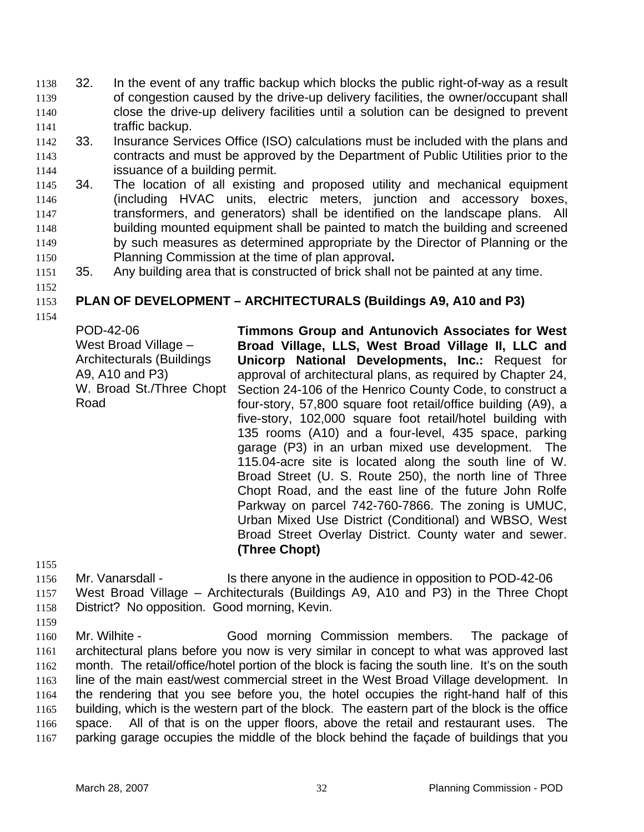- 32. In the event of any traffic backup which blocks the public right-of-way as a result of congestion caused by the drive-up delivery facilities, the owner/occupant shall close the drive-up delivery facilities until a solution can be designed to prevent traffic backup. 1138 1139 1140 1141
- 1142 1143 1144 33. Insurance Services Office (ISO) calculations must be included with the plans and contracts and must be approved by the Department of Public Utilities prior to the issuance of a building permit.
- 1145 1146 1147 1148 1149 1150 34. The location of all existing and proposed utility and mechanical equipment (including HVAC units, electric meters, junction and accessory boxes, transformers, and generators) shall be identified on the landscape plans. All building mounted equipment shall be painted to match the building and screened by such measures as determined appropriate by the Director of Planning or the Planning Commission at the time of plan approval**.**
- 1151 35. Any building area that is constructed of brick shall not be painted at any time.
- 1153 **PLAN OF DEVELOPMENT – ARCHITECTURALS (Buildings A9, A10 and P3)**
- 1154

1152

POD-42-06 West Broad Village – Architecturals (Buildings A9, A10 and P3) W. Broad St./Three Chopt Road

**Timmons Group and Antunovich Associates for West Broad Village, LLS, West Broad Village II, LLC and Unicorp National Developments, Inc.:** Request for approval of architectural plans, as required by Chapter 24, Section 24-106 of the Henrico County Code, to construct a four-story, 57,800 square foot retail/office building (A9), a five-story, 102,000 square foot retail/hotel building with 135 rooms (A10) and a four-level, 435 space, parking garage (P3) in an urban mixed use development. The 115.04-acre site is located along the south line of W. Broad Street (U. S. Route 250), the north line of Three Chopt Road, and the east line of the future John Rolfe Parkway on parcel 742-760-7866. The zoning is UMUC, Urban Mixed Use District (Conditional) and WBSO, West Broad Street Overlay District. County water and sewer. **(Three Chopt)** 

1155

1159

1156 1157 1158 Mr. Vanarsdall - Is there anyone in the audience in opposition to POD-42-06 West Broad Village – Architecturals (Buildings A9, A10 and P3) in the Three Chopt District? No opposition. Good morning, Kevin.

1160 1161 1162 1163 1164 1165 1166 1167 Mr. Wilhite - Good morning Commission members. The package of architectural plans before you now is very similar in concept to what was approved last month. The retail/office/hotel portion of the block is facing the south line. It's on the south line of the main east/west commercial street in the West Broad Village development. In the rendering that you see before you, the hotel occupies the right-hand half of this building, which is the western part of the block. The eastern part of the block is the office space. All of that is on the upper floors, above the retail and restaurant uses. The parking garage occupies the middle of the block behind the façade of buildings that you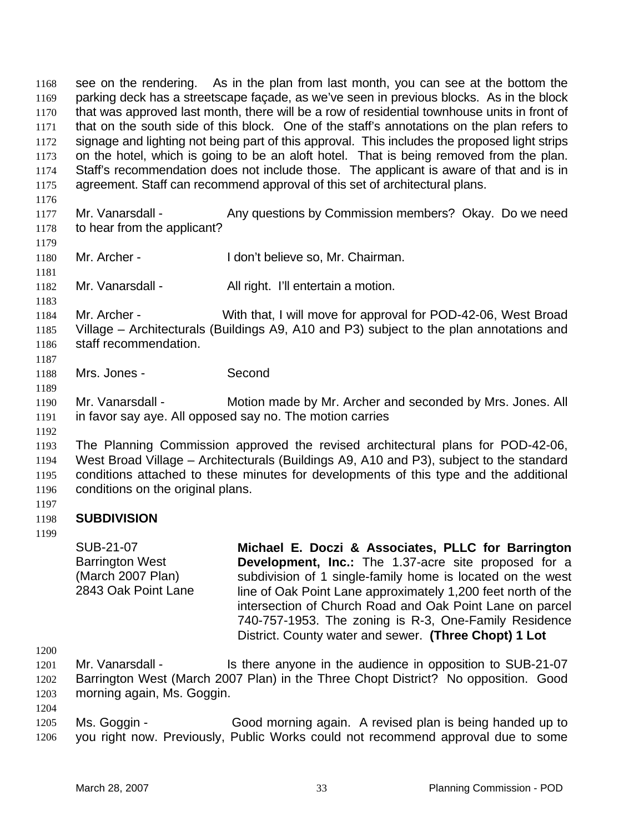see on the rendering. As in the plan from last month, you can see at the bottom the parking deck has a streetscape façade, as we've seen in previous blocks. As in the block that was approved last month, there will be a row of residential townhouse units in front of that on the south side of this block. One of the staff's annotations on the plan refers to signage and lighting not being part of this approval. This includes the proposed light strips on the hotel, which is going to be an aloft hotel. That is being removed from the plan. Staff's recommendation does not include those. The applicant is aware of that and is in agreement. Staff can recommend approval of this set of architectural plans. 1168 1169 1170 1171 1172 1173 1174 1175 1176

- 1177 1178 Mr. Vanarsdall - Any questions by Commission members? Okay. Do we need to hear from the applicant?
- 1180 Mr. Archer - I don't believe so, Mr. Chairman.
- 1182 Mr. Vanarsdall - All right. I'll entertain a motion.

1184 1185 1186 Mr. Archer - With that, I will move for approval for POD-42-06, West Broad Village – Architecturals (Buildings A9, A10 and P3) subject to the plan annotations and staff recommendation.

1188 Mrs. Jones - Second

1190 1191 Mr. Vanarsdall - Motion made by Mr. Archer and seconded by Mrs. Jones. All in favor say aye. All opposed say no. The motion carries

1192

1179

1181

1183

1187

1189

1193 1194 1195 1196 The Planning Commission approved the revised architectural plans for POD-42-06, West Broad Village – Architecturals (Buildings A9, A10 and P3), subject to the standard conditions attached to these minutes for developments of this type and the additional conditions on the original plans.

1197 1198 **SUBDIVISION** 

> SUB-21-07 Barrington West (March 2007 Plan) 2843 Oak Point Lane

1199

**Michael E. Doczi & Associates, PLLC for Barrington Development, Inc.:** The 1.37-acre site proposed for a subdivision of 1 single-family home is located on the west line of Oak Point Lane approximately 1,200 feet north of the intersection of Church Road and Oak Point Lane on parcel 740-757-1953. The zoning is R-3, One-Family Residence District. County water and sewer. **(Three Chopt) 1 Lot** 

1200

1204

1201 1202 1203 Mr. Vanarsdall - Is there anyone in the audience in opposition to SUB-21-07 Barrington West (March 2007 Plan) in the Three Chopt District? No opposition. Good morning again, Ms. Goggin.

1205 1206 Ms. Goggin - Good morning again. A revised plan is being handed up to you right now. Previously, Public Works could not recommend approval due to some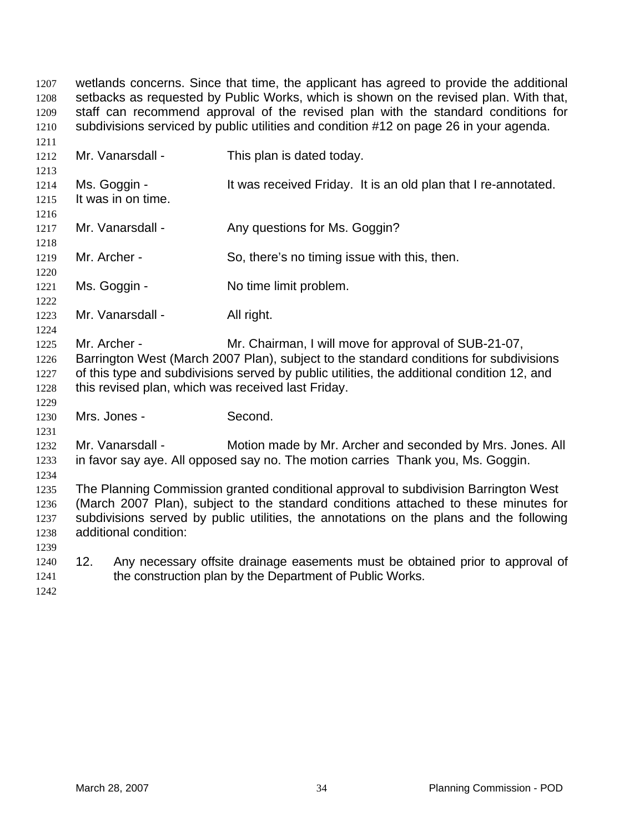wetlands concerns. Since that time, the applicant has agreed to provide the additional setbacks as requested by Public Works, which is shown on the revised plan. With that, staff can recommend approval of the revised plan with the standard conditions for subdivisions serviced by public utilities and condition #12 on page 26 in your agenda. 1207 1208 1209 1210 1211

| 1411         |     |                       |                                                                                            |
|--------------|-----|-----------------------|--------------------------------------------------------------------------------------------|
| 1212         |     | Mr. Vanarsdall -      | This plan is dated today.                                                                  |
| 1213         |     |                       |                                                                                            |
| 1214         |     | Ms. Goggin -          | It was received Friday. It is an old plan that I re-annotated.                             |
| 1215         |     | It was in on time.    |                                                                                            |
| 1216         |     |                       |                                                                                            |
| 1217         |     | Mr. Vanarsdall -      | Any questions for Ms. Goggin?                                                              |
| 1218         |     |                       |                                                                                            |
| 1219         |     | Mr. Archer -          | So, there's no timing issue with this, then.                                               |
| 1220         |     |                       |                                                                                            |
| 1221         |     | Ms. Goggin -          | No time limit problem.                                                                     |
| 1222         |     |                       |                                                                                            |
| 1223         |     | Mr. Vanarsdall -      | All right.                                                                                 |
| 1224         |     |                       |                                                                                            |
| 1225         |     | Mr. Archer -          | Mr. Chairman, I will move for approval of SUB-21-07,                                       |
| 1226         |     |                       | Barrington West (March 2007 Plan), subject to the standard conditions for subdivisions     |
| 1227         |     |                       | of this type and subdivisions served by public utilities, the additional condition 12, and |
| 1228         |     |                       | this revised plan, which was received last Friday.                                         |
| 1229         |     | Mrs. Jones -          | Second.                                                                                    |
| 1230<br>1231 |     |                       |                                                                                            |
| 1232         |     | Mr. Vanarsdall -      | Motion made by Mr. Archer and seconded by Mrs. Jones. All                                  |
| 1233         |     |                       | in favor say aye. All opposed say no. The motion carries Thank you, Ms. Goggin.            |
| 1234         |     |                       |                                                                                            |
| 1235         |     |                       | The Planning Commission granted conditional approval to subdivision Barrington West        |
| 1236         |     |                       | (March 2007 Plan), subject to the standard conditions attached to these minutes for        |
| 1237         |     |                       | subdivisions served by public utilities, the annotations on the plans and the following    |
| 1238         |     | additional condition: |                                                                                            |
| 1239         |     |                       |                                                                                            |
| 1240         | 12. |                       | Any necessary offsite drainage easements must be obtained prior to approval of             |
| 1241         |     |                       | the construction plan by the Department of Public Works.                                   |
| 1242         |     |                       |                                                                                            |
|              |     |                       |                                                                                            |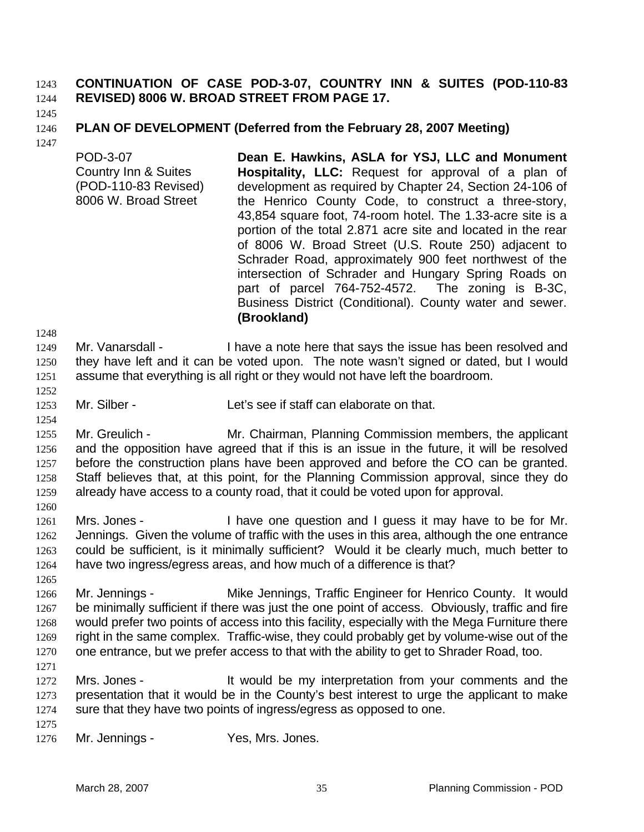#### **CONTINUATION OF CASE POD-3-07, COUNTRY INN & SUITES (POD-110-83 REVISED) 8006 W. BROAD STREET FROM PAGE 17.**  1243 1244

1245

#### 1246 **PLAN OF DEVELOPMENT (Deferred from the February 28, 2007 Meeting)**

1247

POD-3-07 Country Inn & Suites (POD-110-83 Revised) 8006 W. Broad Street **Dean E. Hawkins, ASLA for YSJ, LLC and Monument Hospitality, LLC:** Request for approval of a plan of development as required by Chapter 24, Section 24-106 of the Henrico County Code, to construct a three-story, 43,854 square foot, 74-room hotel. The 1.33-acre site is a portion of the total 2.871 acre site and located in the rear of 8006 W. Broad Street (U.S. Route 250) adjacent to Schrader Road, approximately 900 feet northwest of the intersection of Schrader and Hungary Spring Roads on part of parcel 764-752-4572. The zoning is B-3C, Business District (Conditional). County water and sewer. **(Brookland)** 

1248

- 1249 1250 1251 Mr. Vanarsdall - I have a note here that says the issue has been resolved and they have left and it can be voted upon. The note wasn't signed or dated, but I would assume that everything is all right or they would not have left the boardroom.
- 1252 1253

1254

- Mr. Silber Let's see if staff can elaborate on that.
- 1255 1256 1257 1258 1259 Mr. Greulich - Mr. Chairman, Planning Commission members, the applicant and the opposition have agreed that if this is an issue in the future, it will be resolved before the construction plans have been approved and before the CO can be granted. Staff believes that, at this point, for the Planning Commission approval, since they do already have access to a county road, that it could be voted upon for approval.
- 1260 1261 1262 1263 1264 Mrs. Jones - I have one question and I guess it may have to be for Mr. Jennings. Given the volume of traffic with the uses in this area, although the one entrance could be sufficient, is it minimally sufficient? Would it be clearly much, much better to have two ingress/egress areas, and how much of a difference is that?
- 1265 1266 1267 1268 1269 1270 Mr. Jennings - **Mike Jennings, Traffic Engineer for Henrico County.** It would be minimally sufficient if there was just the one point of access. Obviously, traffic and fire would prefer two points of access into this facility, especially with the Mega Furniture there right in the same complex. Traffic-wise, they could probably get by volume-wise out of the one entrance, but we prefer access to that with the ability to get to Shrader Road, too.
- 1271
- 1272 1273 1274 Mrs. Jones - The Muslim state of the my interpretation from your comments and the presentation that it would be in the County's best interest to urge the applicant to make sure that they have two points of ingress/egress as opposed to one.
- 1275

1276 Mr. Jennings - Yes, Mrs. Jones.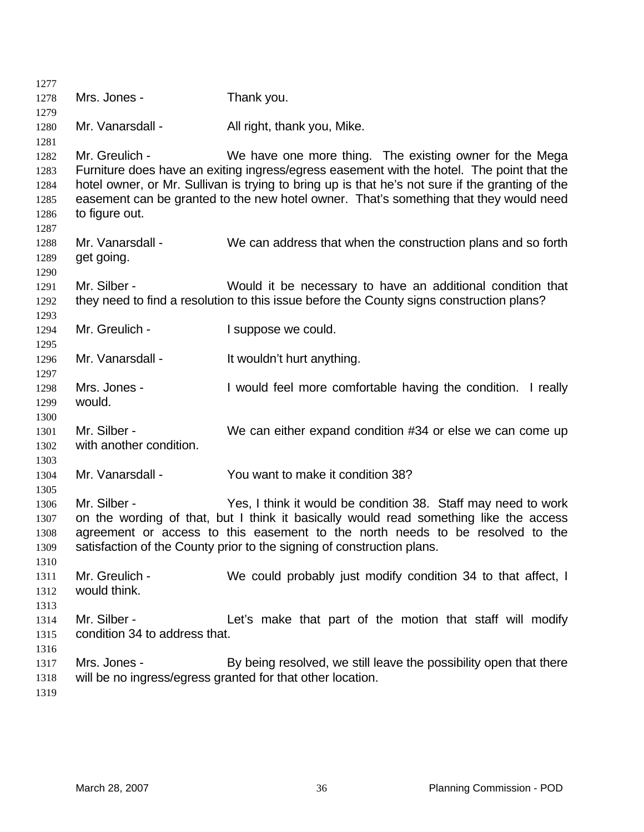| 1277         |                               |                                                                                                                                                      |
|--------------|-------------------------------|------------------------------------------------------------------------------------------------------------------------------------------------------|
| 1278         | Mrs. Jones -                  | Thank you.                                                                                                                                           |
| 1279         |                               |                                                                                                                                                      |
| 1280         | Mr. Vanarsdall -              | All right, thank you, Mike.                                                                                                                          |
| 1281         | Mr. Greulich -                |                                                                                                                                                      |
| 1282<br>1283 |                               | We have one more thing. The existing owner for the Mega<br>Furniture does have an exiting ingress/egress easement with the hotel. The point that the |
| 1284         |                               | hotel owner, or Mr. Sullivan is trying to bring up is that he's not sure if the granting of the                                                      |
| 1285         |                               | easement can be granted to the new hotel owner. That's something that they would need                                                                |
| 1286         | to figure out.                |                                                                                                                                                      |
| 1287         |                               |                                                                                                                                                      |
| 1288         | Mr. Vanarsdall -              | We can address that when the construction plans and so forth                                                                                         |
| 1289         | get going.                    |                                                                                                                                                      |
| 1290         |                               |                                                                                                                                                      |
| 1291         | Mr. Silber -                  | Would it be necessary to have an additional condition that                                                                                           |
| 1292         |                               | they need to find a resolution to this issue before the County signs construction plans?                                                             |
| 1293         |                               |                                                                                                                                                      |
| 1294         | Mr. Greulich -                | I suppose we could.                                                                                                                                  |
| 1295         |                               |                                                                                                                                                      |
| 1296         | Mr. Vanarsdall -              | It wouldn't hurt anything.                                                                                                                           |
| 1297         |                               |                                                                                                                                                      |
| 1298         | Mrs. Jones -                  | I would feel more comfortable having the condition. I really                                                                                         |
| 1299         | would.                        |                                                                                                                                                      |
| 1300<br>1301 | Mr. Silber -                  | We can either expand condition #34 or else we can come up                                                                                            |
| 1302         | with another condition.       |                                                                                                                                                      |
| 1303         |                               |                                                                                                                                                      |
| 1304         | Mr. Vanarsdall -              | You want to make it condition 38?                                                                                                                    |
| 1305         |                               |                                                                                                                                                      |
| 1306         | Mr. Silber -                  | Yes, I think it would be condition 38. Staff may need to work                                                                                        |
| 1307         |                               | on the wording of that, but I think it basically would read something like the access                                                                |
| 1308         |                               | agreement or access to this easement to the north needs to be resolved to the                                                                        |
| 1309         |                               | satisfaction of the County prior to the signing of construction plans.                                                                               |
| 1310         |                               |                                                                                                                                                      |
| 1311         | Mr. Greulich -                | We could probably just modify condition 34 to that affect, I                                                                                         |
| 1312         | would think.                  |                                                                                                                                                      |
| 1313         |                               |                                                                                                                                                      |
| 1314         | Mr. Silber -                  | Let's make that part of the motion that staff will modify                                                                                            |
| 1315         | condition 34 to address that. |                                                                                                                                                      |
| 1316         |                               |                                                                                                                                                      |
| 1317         | Mrs. Jones -                  | By being resolved, we still leave the possibility open that there                                                                                    |
| 1318         |                               | will be no ingress/egress granted for that other location.                                                                                           |
| 1319         |                               |                                                                                                                                                      |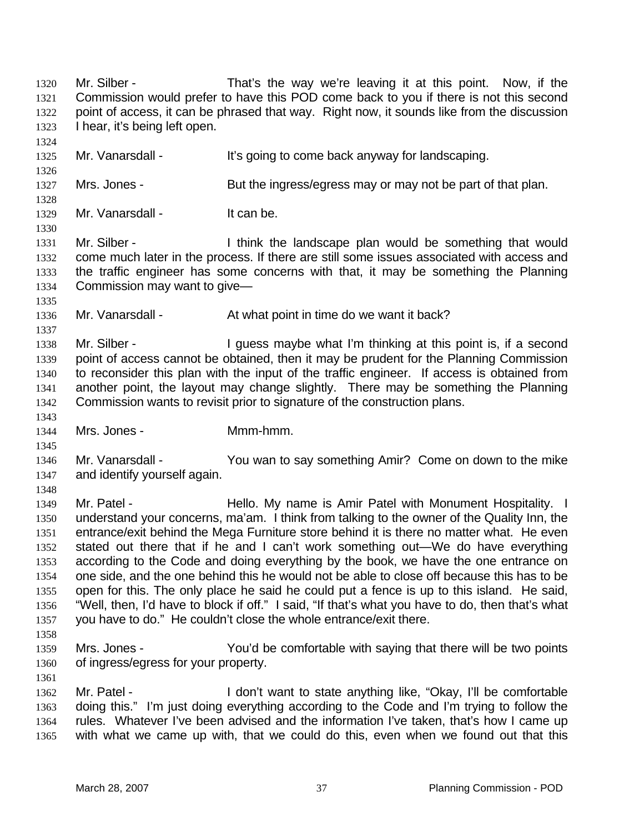Commission would prefer to have this POD come back to you if there is not this second point of access, it can be phrased that way. Right now, it sounds like from the discussion I hear, it's being left open. 1321 1322 1323 1324 1325 1326 1327 1328 1329 1330 1331 1332 1333 1334 1335 1336 1337 1338 1339 1340 1341 1342 1343 1344 1345 1346 1347 1348 1349 1350 1351 1352 1353 1354 1355 1356 1357 1358 1359 1360 1361 1362 1363 1364 1365 Mr. Vanarsdall - It's going to come back anyway for landscaping. Mrs. Jones - But the ingress/egress may or may not be part of that plan. Mr. Vanarsdall - It can be. Mr. Silber - I think the landscape plan would be something that would come much later in the process. If there are still some issues associated with access and the traffic engineer has some concerns with that, it may be something the Planning Commission may want to give— Mr. Vanarsdall - At what point in time do we want it back? Mr. Silber - I guess maybe what I'm thinking at this point is, if a second point of access cannot be obtained, then it may be prudent for the Planning Commission to reconsider this plan with the input of the traffic engineer. If access is obtained from another point, the layout may change slightly. There may be something the Planning Commission wants to revisit prior to signature of the construction plans. Mrs. Jones - Mmm-hmm. Mr. Vanarsdall - You wan to say something Amir? Come on down to the mike and identify yourself again. Mr. Patel - The Hello. My name is Amir Patel with Monument Hospitality. I understand your concerns, ma'am. I think from talking to the owner of the Quality Inn, the entrance/exit behind the Mega Furniture store behind it is there no matter what. He even stated out there that if he and I can't work something out—We do have everything according to the Code and doing everything by the book, we have the one entrance on one side, and the one behind this he would not be able to close off because this has to be open for this. The only place he said he could put a fence is up to this island. He said, "Well, then, I'd have to block if off." I said, "If that's what you have to do, then that's what you have to do." He couldn't close the whole entrance/exit there. Mrs. Jones - The You'd be comfortable with saying that there will be two points of ingress/egress for your property. Mr. Patel - **I** don't want to state anything like, "Okay, I'll be comfortable doing this." I'm just doing everything according to the Code and I'm trying to follow the rules. Whatever I've been advised and the information I've taken, that's how I came up with what we came up with, that we could do this, even when we found out that this

Mr. Silber - That's the way we're leaving it at this point. Now, if the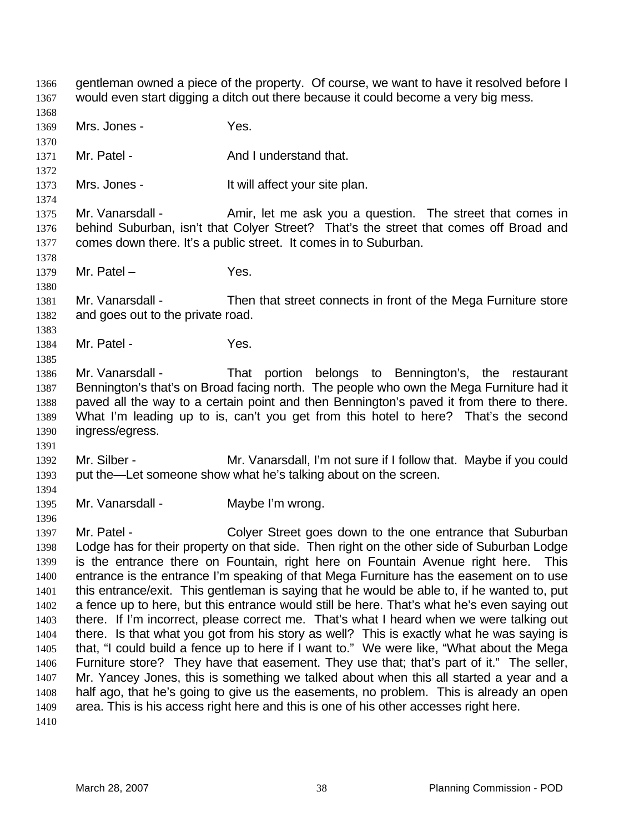gentleman owned a piece of the property. Of course, we want to have it resolved before I would even start digging a ditch out there because it could become a very big mess. 1366 1367

- 1368 1369 Mrs. Jones - Yes.
- 1370

1378

1380

1383

1385

- 
- 1371 1372 Mr. Patel - And I understand that.
- 1373 1374 Mrs. Jones - The Muslim State of the Unit of Mrs. Jones - The Muslim State plan.
- 1375 1376 1377 Mr. Vanarsdall - Amir, let me ask you a question. The street that comes in behind Suburban, isn't that Colyer Street? That's the street that comes off Broad and comes down there. It's a public street. It comes in to Suburban.
- 1379 Mr. Patel – Yes.
- 1381 1382 Mr. Vanarsdall - Then that street connects in front of the Mega Furniture store and goes out to the private road.
- 1384 Mr. Patel - Yes.
- 1386 1387 1388 1389 1390 Mr. Vanarsdall - That portion belongs to Bennington's, the restaurant Bennington's that's on Broad facing north. The people who own the Mega Furniture had it paved all the way to a certain point and then Bennington's paved it from there to there. What I'm leading up to is, can't you get from this hotel to here? That's the second ingress/egress.
- 1392 1393 Mr. Silber - **Mr. Vanarsdall, I'm not sure if I follow that.** Maybe if you could put the—Let someone show what he's talking about on the screen.
- 1394 1395

1396

1391

Mr. Vanarsdall - Maybe I'm wrong.

1397 1398 1399 1400 1401 1402 1403 1404 1405 1406 1407 1408 1409 1410 Mr. Patel - Colyer Street goes down to the one entrance that Suburban Lodge has for their property on that side. Then right on the other side of Suburban Lodge is the entrance there on Fountain, right here on Fountain Avenue right here. This entrance is the entrance I'm speaking of that Mega Furniture has the easement on to use this entrance/exit. This gentleman is saying that he would be able to, if he wanted to, put a fence up to here, but this entrance would still be here. That's what he's even saying out there. If I'm incorrect, please correct me. That's what I heard when we were talking out there. Is that what you got from his story as well? This is exactly what he was saying is that, "I could build a fence up to here if I want to." We were like, "What about the Mega Furniture store? They have that easement. They use that; that's part of it." The seller, Mr. Yancey Jones, this is something we talked about when this all started a year and a half ago, that he's going to give us the easements, no problem. This is already an open area. This is his access right here and this is one of his other accesses right here.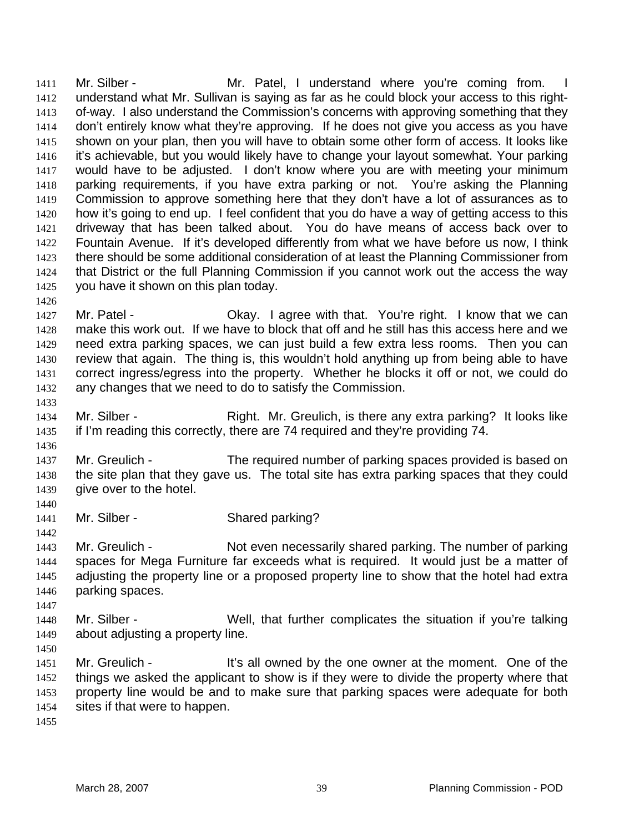Mr. Silber - The Mr. Patel, I understand where you're coming from. understand what Mr. Sullivan is saying as far as he could block your access to this rightof-way. I also understand the Commission's concerns with approving something that they don't entirely know what they're approving. If he does not give you access as you have shown on your plan, then you will have to obtain some other form of access. It looks like it's achievable, but you would likely have to change your layout somewhat. Your parking would have to be adjusted. I don't know where you are with meeting your minimum parking requirements, if you have extra parking or not. You're asking the Planning Commission to approve something here that they don't have a lot of assurances as to how it's going to end up. I feel confident that you do have a way of getting access to this driveway that has been talked about. You do have means of access back over to Fountain Avenue. If it's developed differently from what we have before us now, I think there should be some additional consideration of at least the Planning Commissioner from that District or the full Planning Commission if you cannot work out the access the way you have it shown on this plan today. 1411 1412 1413 1414 1415 1416 1417 1418 1419 1420 1421 1422 1423 1424 1425

1427 1428 1429 1430 1431 1432 Mr. Patel - Chay. I agree with that. You're right. I know that we can make this work out. If we have to block that off and he still has this access here and we need extra parking spaces, we can just build a few extra less rooms. Then you can review that again. The thing is, this wouldn't hold anything up from being able to have correct ingress/egress into the property. Whether he blocks it off or not, we could do any changes that we need to do to satisfy the Commission.

1434 1435 Mr. Silber - Right. Mr. Greulich, is there any extra parking? It looks like if I'm reading this correctly, there are 74 required and they're providing 74.

1437 1438 1439 Mr. Greulich - The required number of parking spaces provided is based on the site plan that they gave us. The total site has extra parking spaces that they could give over to the hotel.

1441 Mr. Silber - Shared parking?

1443 1444 1445 1446 Mr. Greulich - Not even necessarily shared parking. The number of parking spaces for Mega Furniture far exceeds what is required. It would just be a matter of adjusting the property line or a proposed property line to show that the hotel had extra parking spaces.

- 1448 1449 Mr. Silber - Well, that further complicates the situation if you're talking about adjusting a property line.
- 1450

1447

1426

1433

1436

1440

1442

1451 1452 1453 1454 Mr. Greulich - It's all owned by the one owner at the moment. One of the things we asked the applicant to show is if they were to divide the property where that property line would be and to make sure that parking spaces were adequate for both sites if that were to happen.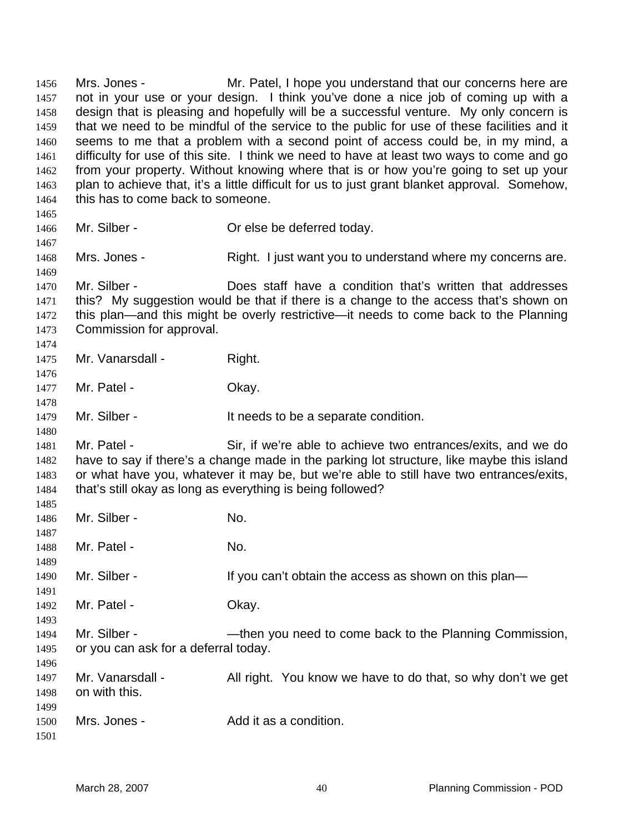Mrs. Jones - Mr. Patel, I hope you understand that our concerns here are not in your use or your design. I think you've done a nice job of coming up with a design that is pleasing and hopefully will be a successful venture. My only concern is that we need to be mindful of the service to the public for use of these facilities and it seems to me that a problem with a second point of access could be, in my mind, a difficulty for use of this site. I think we need to have at least two ways to come and go from your property. Without knowing where that is or how you're going to set up your plan to achieve that, it's a little difficult for us to just grant blanket approval. Somehow, this has to come back to someone. 1456 1457 1458 1459 1460 1461 1462 1463 1464 1465 1466 1467 1468 1469 1470 1471 1472 1473 1474 1475 1476 1477 1478 1479 1480 1481 1482 1483 1484 1485 1486 1487 1488 1489 1490 1491 1492 1493 1494 1495 1496 1497 1498 1499 1500 1501 Mr. Silber - **Or else be deferred today.** Mrs. Jones - Right. I just want you to understand where my concerns are. Mr. Silber - Does staff have a condition that's written that addresses this? My suggestion would be that if there is a change to the access that's shown on this plan—and this might be overly restrictive—it needs to come back to the Planning Commission for approval. Mr. Vanarsdall - Right. Mr. Patel - Chay. Mr. Silber - The eds to be a separate condition. Mr. Patel - Sir, if we're able to achieve two entrances/exits, and we do have to say if there's a change made in the parking lot structure, like maybe this island or what have you, whatever it may be, but we're able to still have two entrances/exits, that's still okay as long as everything is being followed? Mr. Silber - No. Mr. Patel - No. Mr. Silber - The Super of the state of the secess as shown on this plan— Mr. Patel - Chav. Mr. Silber - — —then you need to come back to the Planning Commission, or you can ask for a deferral today. Mr. Vanarsdall - All right. You know we have to do that, so why don't we get on with this. Mrs. Jones - Add it as a condition.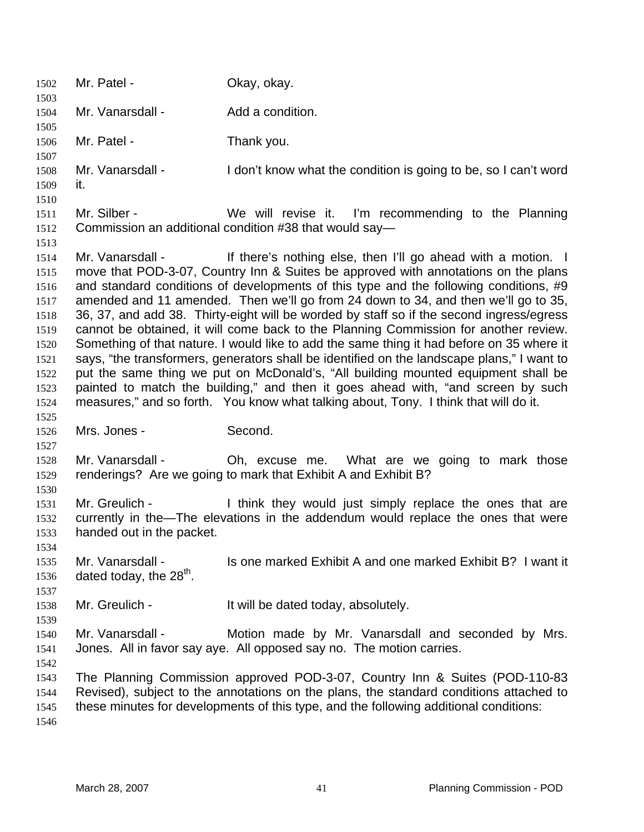| 1502<br>1503 | Mr. Patel -                         | Okay, okay.                                                                                |
|--------------|-------------------------------------|--------------------------------------------------------------------------------------------|
| 1504         | Mr. Vanarsdall -                    | Add a condition.                                                                           |
| 1505         |                                     |                                                                                            |
| 1506<br>1507 | Mr. Patel -                         | Thank you.                                                                                 |
| 1508<br>1509 | Mr. Vanarsdall -<br>it.             | I don't know what the condition is going to be, so I can't word                            |
| 1510         |                                     |                                                                                            |
| 1511         | Mr. Silber -                        | We will revise it. I'm recommending to the Planning                                        |
| 1512<br>1513 |                                     | Commission an additional condition #38 that would say—                                     |
| 1514         | Mr. Vanarsdall -                    | If there's nothing else, then I'll go ahead with a motion. I                               |
| 1515         |                                     | move that POD-3-07, Country Inn & Suites be approved with annotations on the plans         |
| 1516         |                                     | and standard conditions of developments of this type and the following conditions, #9      |
| 1517         |                                     | amended and 11 amended. Then we'll go from 24 down to 34, and then we'll go to 35,         |
| 1518         |                                     | 36, 37, and add 38. Thirty-eight will be worded by staff so if the second ingress/egress   |
| 1519         |                                     | cannot be obtained, it will come back to the Planning Commission for another review.       |
| 1520         |                                     | Something of that nature. I would like to add the same thing it had before on 35 where it  |
| 1521         |                                     | says, "the transformers, generators shall be identified on the landscape plans," I want to |
| 1522         |                                     | put the same thing we put on McDonald's, "All building mounted equipment shall be          |
| 1523         |                                     | painted to match the building," and then it goes ahead with, "and screen by such           |
| 1524         |                                     | measures," and so forth. You know what talking about, Tony. I think that will do it.       |
| 1525         |                                     |                                                                                            |
| 1526         | Mrs. Jones -                        | Second.                                                                                    |
| 1527         |                                     |                                                                                            |
| 1528         | Mr. Vanarsdall -                    | Oh, excuse me. What are we going to mark those                                             |
| 1529<br>1530 |                                     | renderings? Are we going to mark that Exhibit A and Exhibit B?                             |
| 1531         | Mr. Greulich -                      | I think they would just simply replace the ones that are                                   |
| 1532         |                                     | currently in the—The elevations in the addendum would replace the ones that were           |
| 1533         | handed out in the packet.           |                                                                                            |
| 1534         |                                     |                                                                                            |
| 1535         | Mr. Vanarsdall -                    | Is one marked Exhibit A and one marked Exhibit B? I want it                                |
| 1536         | dated today, the 28 <sup>th</sup> . |                                                                                            |
| 1537         |                                     |                                                                                            |
| 1538         | Mr. Greulich -                      | It will be dated today, absolutely.                                                        |
| 1539         |                                     |                                                                                            |
| 1540         | Mr. Vanarsdall -                    | Motion made by Mr. Vanarsdall and seconded by Mrs.                                         |
| 1541         |                                     | Jones. All in favor say aye. All opposed say no. The motion carries.                       |
| 1542         |                                     |                                                                                            |
| 1543         |                                     | The Planning Commission approved POD-3-07, Country Inn & Suites (POD-110-83)               |
| 1544         |                                     | Revised), subject to the annotations on the plans, the standard conditions attached to     |
| 1545         |                                     | these minutes for developments of this type, and the following additional conditions:      |
| 1546         |                                     |                                                                                            |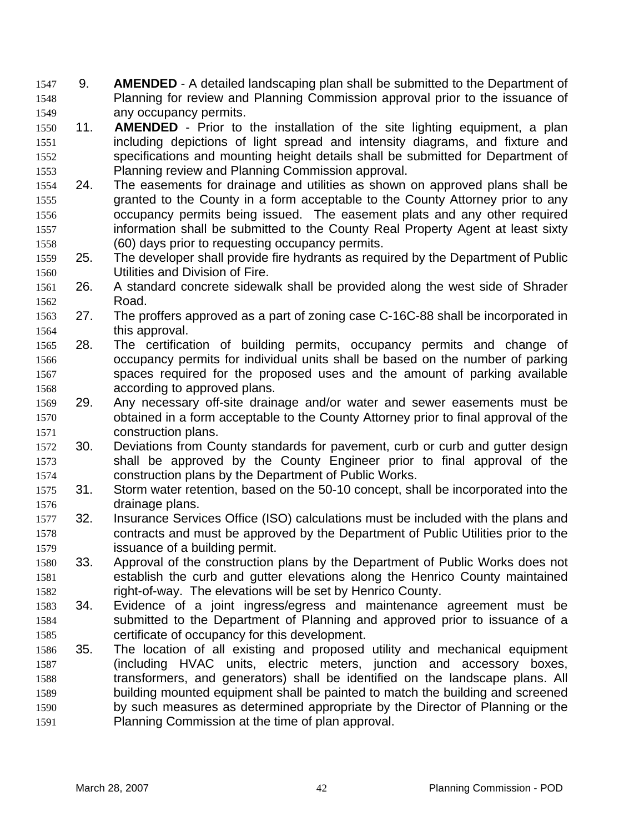9. **AMENDED** - A detailed landscaping plan shall be submitted to the Department of Planning for review and Planning Commission approval prior to the issuance of any occupancy permits. 1547 1548 1549

- 1550 1551 1552 1553 11. **AMENDED** - Prior to the installation of the site lighting equipment, a plan including depictions of light spread and intensity diagrams, and fixture and specifications and mounting height details shall be submitted for Department of Planning review and Planning Commission approval.
- 1554 1555 1556 1557 1558 24. The easements for drainage and utilities as shown on approved plans shall be granted to the County in a form acceptable to the County Attorney prior to any occupancy permits being issued. The easement plats and any other required information shall be submitted to the County Real Property Agent at least sixty (60) days prior to requesting occupancy permits.
- 1559 1560 25. The developer shall provide fire hydrants as required by the Department of Public Utilities and Division of Fire.
- 1561 1562 26. A standard concrete sidewalk shall be provided along the west side of Shrader Road.
- 1563 1564 27. The proffers approved as a part of zoning case C-16C-88 shall be incorporated in this approval.
- 1565 1566 1567 1568 28. The certification of building permits, occupancy permits and change of occupancy permits for individual units shall be based on the number of parking spaces required for the proposed uses and the amount of parking available according to approved plans.
- 1569 1570 1571 29. Any necessary off-site drainage and/or water and sewer easements must be obtained in a form acceptable to the County Attorney prior to final approval of the construction plans.
- 1572 1573 1574 30. Deviations from County standards for pavement, curb or curb and gutter design shall be approved by the County Engineer prior to final approval of the construction plans by the Department of Public Works.
- 1575 1576 31. Storm water retention, based on the 50-10 concept, shall be incorporated into the drainage plans.
- 1577 1578 1579 32. Insurance Services Office (ISO) calculations must be included with the plans and contracts and must be approved by the Department of Public Utilities prior to the issuance of a building permit.
- 1580 1581 1582 33. Approval of the construction plans by the Department of Public Works does not establish the curb and gutter elevations along the Henrico County maintained right-of-way. The elevations will be set by Henrico County.
- 1583 1584 1585 34. Evidence of a joint ingress/egress and maintenance agreement must be submitted to the Department of Planning and approved prior to issuance of a certificate of occupancy for this development.
- 1586 1587 1588 1589 1590 1591 35. The location of all existing and proposed utility and mechanical equipment (including HVAC units, electric meters, junction and accessory boxes, transformers, and generators) shall be identified on the landscape plans. All building mounted equipment shall be painted to match the building and screened by such measures as determined appropriate by the Director of Planning or the Planning Commission at the time of plan approval.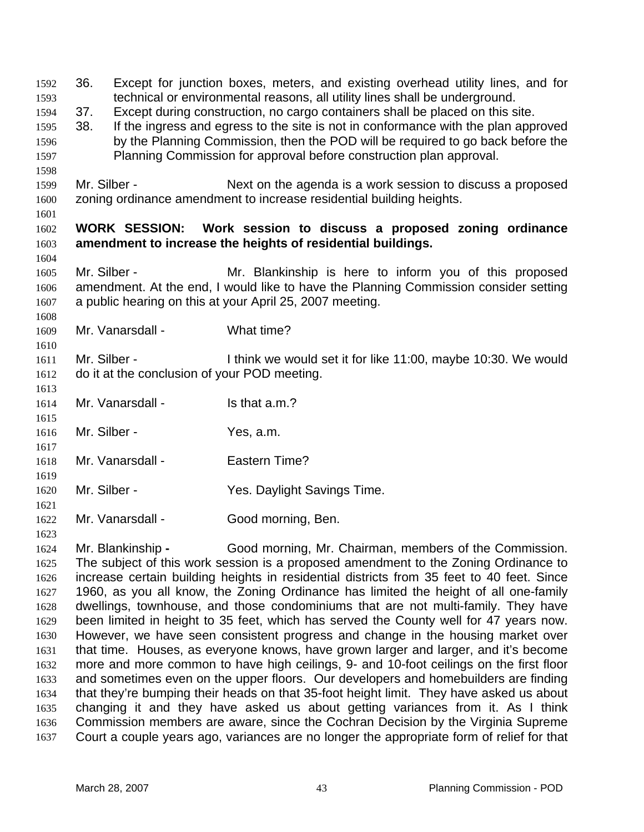36. Except for junction boxes, meters, and existing overhead utility lines, and for technical or environmental reasons, all utility lines shall be underground. 1592 1593 1594 1595 1596 1597 1598 1599 1600 1601 1602 1603 1604 1605 1606 1607 1608 1609 1610 1611 1612 1613 1614 1615 1616 1617 1618 1619 1620 1621 1622 1623 37. Except during construction, no cargo containers shall be placed on this site. 38. If the ingress and egress to the site is not in conformance with the plan approved by the Planning Commission, then the POD will be required to go back before the Planning Commission for approval before construction plan approval. Mr. Silber - Next on the agenda is a work session to discuss a proposed zoning ordinance amendment to increase residential building heights. **WORK SESSION: Work session to discuss a proposed zoning ordinance amendment to increase the heights of residential buildings.**  Mr. Silber - The Mr. Blankinship is here to inform you of this proposed amendment. At the end, I would like to have the Planning Commission consider setting a public hearing on this at your April 25, 2007 meeting. Mr. Vanarsdall - What time? Mr. Silber - I think we would set it for like 11:00, maybe 10:30. We would do it at the conclusion of your POD meeting. Mr. Vanarsdall - Is that a.m.? Mr. Silber - Yes, a.m. Mr. Vanarsdall - Fastern Time? Mr. Silber - Yes. Daylight Savings Time. Mr. Vanarsdall - Good morning, Ben.

1624 1625 1626 1627 1628 1629 1630 1631 1632 1633 1634 1635 1636 1637 Mr. Blankinship **-** Good morning, Mr. Chairman, members of the Commission. The subject of this work session is a proposed amendment to the Zoning Ordinance to increase certain building heights in residential districts from 35 feet to 40 feet. Since 1960, as you all know, the Zoning Ordinance has limited the height of all one-family dwellings, townhouse, and those condominiums that are not multi-family. They have been limited in height to 35 feet, which has served the County well for 47 years now. However, we have seen consistent progress and change in the housing market over that time. Houses, as everyone knows, have grown larger and larger, and it's become more and more common to have high ceilings, 9- and 10-foot ceilings on the first floor and sometimes even on the upper floors. Our developers and homebuilders are finding that they're bumping their heads on that 35-foot height limit. They have asked us about changing it and they have asked us about getting variances from it. As I think Commission members are aware, since the Cochran Decision by the Virginia Supreme Court a couple years ago, variances are no longer the appropriate form of relief for that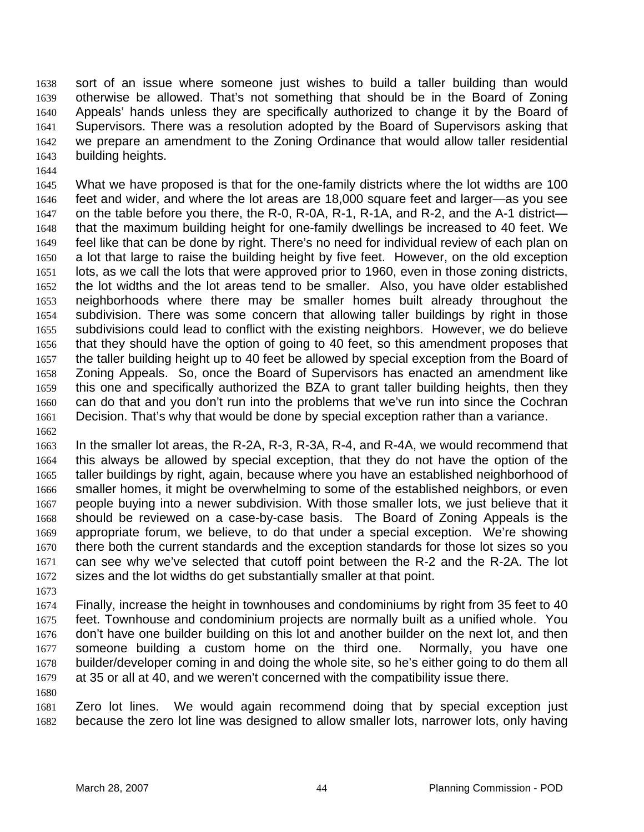sort of an issue where someone just wishes to build a taller building than would otherwise be allowed. That's not something that should be in the Board of Zoning Appeals' hands unless they are specifically authorized to change it by the Board of Supervisors. There was a resolution adopted by the Board of Supervisors asking that we prepare an amendment to the Zoning Ordinance that would allow taller residential building heights. 1638 1639 1640 1641 1642 1643

1645 1646 1647 1648 1649 1650 1651 1652 1653 1654 1655 1656 1657 1658 1659 1660 1661 1662 What we have proposed is that for the one-family districts where the lot widths are 100 feet and wider, and where the lot areas are 18,000 square feet and larger—as you see on the table before you there, the R-0, R-0A, R-1, R-1A, and R-2, and the A-1 district that the maximum building height for one-family dwellings be increased to 40 feet. We feel like that can be done by right. There's no need for individual review of each plan on a lot that large to raise the building height by five feet. However, on the old exception lots, as we call the lots that were approved prior to 1960, even in those zoning districts, the lot widths and the lot areas tend to be smaller. Also, you have older established neighborhoods where there may be smaller homes built already throughout the subdivision. There was some concern that allowing taller buildings by right in those subdivisions could lead to conflict with the existing neighbors. However, we do believe that they should have the option of going to 40 feet, so this amendment proposes that the taller building height up to 40 feet be allowed by special exception from the Board of Zoning Appeals. So, once the Board of Supervisors has enacted an amendment like this one and specifically authorized the BZA to grant taller building heights, then they can do that and you don't run into the problems that we've run into since the Cochran Decision. That's why that would be done by special exception rather than a variance.

1663 1664 1665 1666 1667 1668 1669 1670 1671 1672 In the smaller lot areas, the R-2A, R-3, R-3A, R-4, and R-4A, we would recommend that this always be allowed by special exception, that they do not have the option of the taller buildings by right, again, because where you have an established neighborhood of smaller homes, it might be overwhelming to some of the established neighbors, or even people buying into a newer subdivision. With those smaller lots, we just believe that it should be reviewed on a case-by-case basis. The Board of Zoning Appeals is the appropriate forum, we believe, to do that under a special exception. We're showing there both the current standards and the exception standards for those lot sizes so you can see why we've selected that cutoff point between the R-2 and the R-2A. The lot sizes and the lot widths do get substantially smaller at that point.

1673

1680

1644

1674 1675 1676 1677 1678 1679 Finally, increase the height in townhouses and condominiums by right from 35 feet to 40 feet. Townhouse and condominium projects are normally built as a unified whole. You don't have one builder building on this lot and another builder on the next lot, and then someone building a custom home on the third one. Normally, you have one builder/developer coming in and doing the whole site, so he's either going to do them all at 35 or all at 40, and we weren't concerned with the compatibility issue there.

1681 1682 Zero lot lines. We would again recommend doing that by special exception just because the zero lot line was designed to allow smaller lots, narrower lots, only having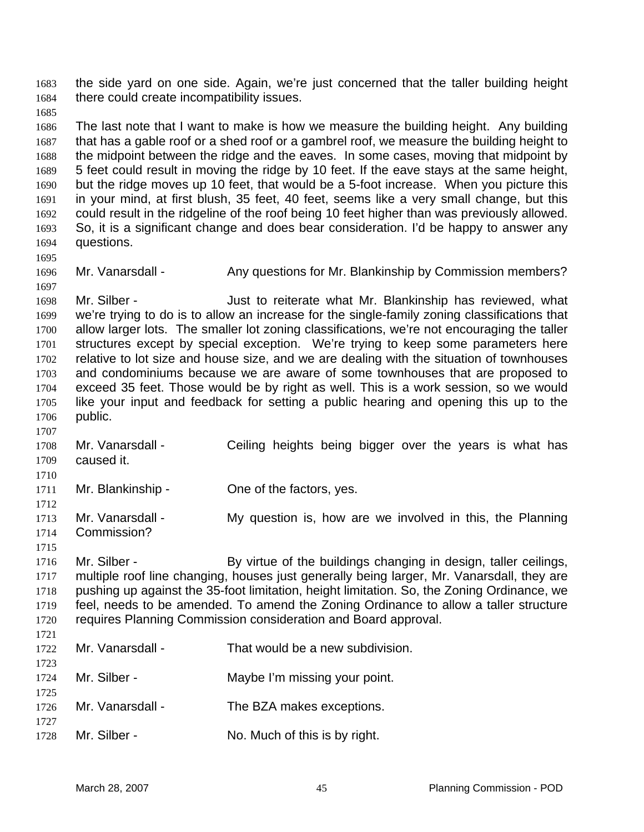the side yard on one side. Again, we're just concerned that the taller building height there could create incompatibility issues. 1683 1684

1685

1695

1697

1707

1686 1687 1688 1689 1690 1691 1692 1693 1694 The last note that I want to make is how we measure the building height. Any building that has a gable roof or a shed roof or a gambrel roof, we measure the building height to the midpoint between the ridge and the eaves. In some cases, moving that midpoint by 5 feet could result in moving the ridge by 10 feet. If the eave stays at the same height, but the ridge moves up 10 feet, that would be a 5-foot increase. When you picture this in your mind, at first blush, 35 feet, 40 feet, seems like a very small change, but this could result in the ridgeline of the roof being 10 feet higher than was previously allowed. So, it is a significant change and does bear consideration. I'd be happy to answer any questions.

1696 Mr. Vanarsdall - Any questions for Mr. Blankinship by Commission members?

1698 1699 1700 1701 1702 1703 1704 1705 1706 Mr. Silber - **Just to reiterate what Mr. Blankinship has reviewed, what** we're trying to do is to allow an increase for the single-family zoning classifications that allow larger lots. The smaller lot zoning classifications, we're not encouraging the taller structures except by special exception. We're trying to keep some parameters here relative to lot size and house size, and we are dealing with the situation of townhouses and condominiums because we are aware of some townhouses that are proposed to exceed 35 feet. Those would be by right as well. This is a work session, so we would like your input and feedback for setting a public hearing and opening this up to the public.

1708 1709 1710 Mr. Vanarsdall - Ceiling heights being bigger over the years is what has caused it.

1711 Mr. Blankinship - One of the factors, yes.

1712 1713 1714 Mr. Vanarsdall - My question is, how are we involved in this, the Planning Commission?

1715 1716 1717 1718 1719 1720 Mr. Silber - By virtue of the buildings changing in design, taller ceilings, multiple roof line changing, houses just generally being larger, Mr. Vanarsdall, they are pushing up against the 35-foot limitation, height limitation. So, the Zoning Ordinance, we feel, needs to be amended. To amend the Zoning Ordinance to allow a taller structure requires Planning Commission consideration and Board approval.

1721 1722 1723 1724 1725 1726 1727 1728 Mr. Vanarsdall - That would be a new subdivision. Mr. Silber - Maybe I'm missing your point. Mr. Vanarsdall - The BZA makes exceptions. Mr. Silber - No. Much of this is by right.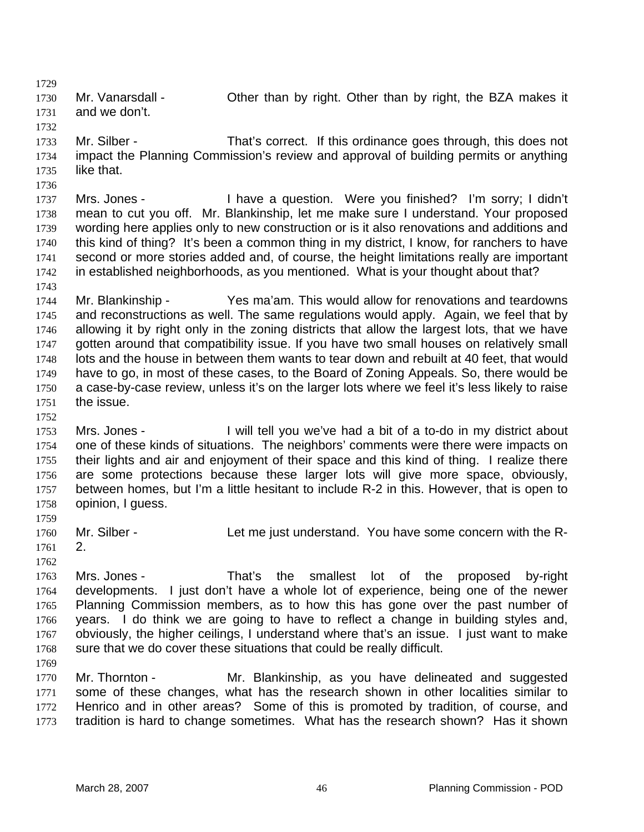1729

1730 1731 Mr. Vanarsdall - **Other than by right. Other than by right, the BZA makes it** and we don't.

- 1732 1733 1734 1735 Mr. Silber - That's correct. If this ordinance goes through, this does not impact the Planning Commission's review and approval of building permits or anything like that.
- 1736 1737 1738 1739 1740 1741 1742 Mrs. Jones - I have a question. Were you finished? I'm sorry; I didn't mean to cut you off. Mr. Blankinship, let me make sure I understand. Your proposed wording here applies only to new construction or is it also renovations and additions and this kind of thing? It's been a common thing in my district, I know, for ranchers to have second or more stories added and, of course, the height limitations really are important in established neighborhoods, as you mentioned. What is your thought about that?
- 1743

1744 1745 1746 1747 1748 1749 1750 1751 Mr. Blankinship - Yes ma'am. This would allow for renovations and teardowns and reconstructions as well. The same regulations would apply. Again, we feel that by allowing it by right only in the zoning districts that allow the largest lots, that we have gotten around that compatibility issue. If you have two small houses on relatively small lots and the house in between them wants to tear down and rebuilt at 40 feet, that would have to go, in most of these cases, to the Board of Zoning Appeals. So, there would be a case-by-case review, unless it's on the larger lots where we feel it's less likely to raise the issue.

- 1752
- 1753 1754 1755 1756 1757 1758 Mrs. Jones - I will tell you we've had a bit of a to-do in my district about one of these kinds of situations. The neighbors' comments were there were impacts on their lights and air and enjoyment of their space and this kind of thing. I realize there are some protections because these larger lots will give more space, obviously, between homes, but I'm a little hesitant to include R-2 in this. However, that is open to opinion, I guess.
- 1759 1760 Mr. Silber - Let me just understand. You have some concern with the R-
- 1761
- 1762 1763 1764 1765 1766 2. Mrs. Jones - That's the smallest lot of the proposed by-right developments. I just don't have a whole lot of experience, being one of the newer Planning Commission members, as to how this has gone over the past number of years. I do think we are going to have to reflect a change in building styles and,
- 1767 1768 obviously, the higher ceilings, I understand where that's an issue. I just want to make sure that we do cover these situations that could be really difficult.
- 1769

1770 1771 1772 1773 Mr. Thornton - The Mr. Blankinship, as you have delineated and suggested some of these changes, what has the research shown in other localities similar to Henrico and in other areas? Some of this is promoted by tradition, of course, and tradition is hard to change sometimes. What has the research shown? Has it shown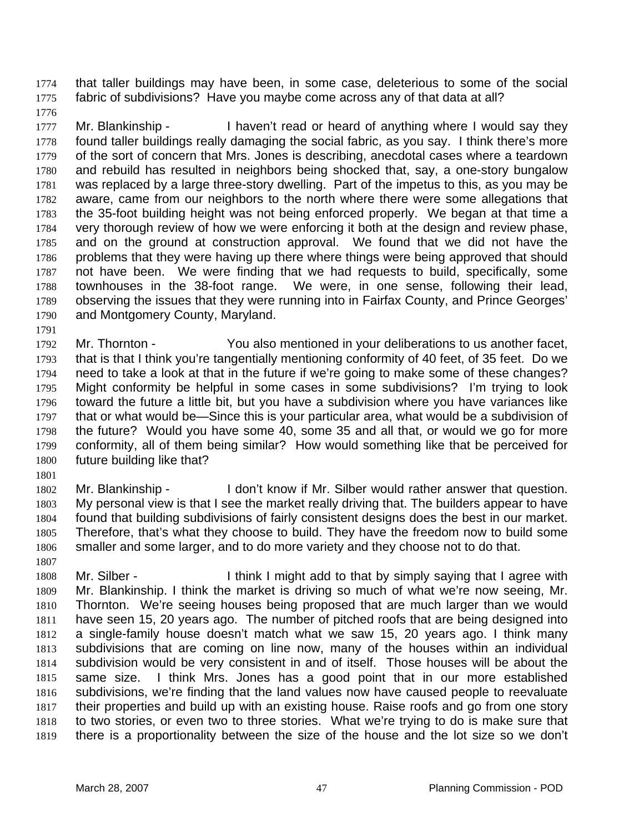that taller buildings may have been, in some case, deleterious to some of the social fabric of subdivisions? Have you maybe come across any of that data at all? 1774 1775

1776

1777 1778 1779 1780 1781 1782 1783 1784 1785 1786 1787 1788 1789 1790 Mr. Blankinship - I haven't read or heard of anything where I would say they found taller buildings really damaging the social fabric, as you say. I think there's more of the sort of concern that Mrs. Jones is describing, anecdotal cases where a teardown and rebuild has resulted in neighbors being shocked that, say, a one-story bungalow was replaced by a large three-story dwelling. Part of the impetus to this, as you may be aware, came from our neighbors to the north where there were some allegations that the 35-foot building height was not being enforced properly. We began at that time a very thorough review of how we were enforcing it both at the design and review phase, and on the ground at construction approval. We found that we did not have the problems that they were having up there where things were being approved that should not have been. We were finding that we had requests to build, specifically, some townhouses in the 38-foot range. We were, in one sense, following their lead, observing the issues that they were running into in Fairfax County, and Prince Georges' and Montgomery County, Maryland.

1791 1792 1793 1794 1795 1796 1797 1798 1799 1800 Mr. Thornton - You also mentioned in your deliberations to us another facet, that is that I think you're tangentially mentioning conformity of 40 feet, of 35 feet. Do we need to take a look at that in the future if we're going to make some of these changes? Might conformity be helpful in some cases in some subdivisions? I'm trying to look toward the future a little bit, but you have a subdivision where you have variances like that or what would be—Since this is your particular area, what would be a subdivision of the future? Would you have some 40, some 35 and all that, or would we go for more conformity, all of them being similar? How would something like that be perceived for future building like that?

1801

1802 1803 1804 1805 1806 1807 Mr. Blankinship - I don't know if Mr. Silber would rather answer that question. My personal view is that I see the market really driving that. The builders appear to have found that building subdivisions of fairly consistent designs does the best in our market. Therefore, that's what they choose to build. They have the freedom now to build some smaller and some larger, and to do more variety and they choose not to do that.

1808 1809 1810 1811 1812 1813 1814 1815 1816 1817 1818 1819 Mr. Silber - Think I might add to that by simply saying that I agree with Mr. Blankinship. I think the market is driving so much of what we're now seeing, Mr. Thornton. We're seeing houses being proposed that are much larger than we would have seen 15, 20 years ago. The number of pitched roofs that are being designed into a single-family house doesn't match what we saw 15, 20 years ago. I think many subdivisions that are coming on line now, many of the houses within an individual subdivision would be very consistent in and of itself. Those houses will be about the same size. I think Mrs. Jones has a good point that in our more established subdivisions, we're finding that the land values now have caused people to reevaluate their properties and build up with an existing house. Raise roofs and go from one story to two stories, or even two to three stories. What we're trying to do is make sure that there is a proportionality between the size of the house and the lot size so we don't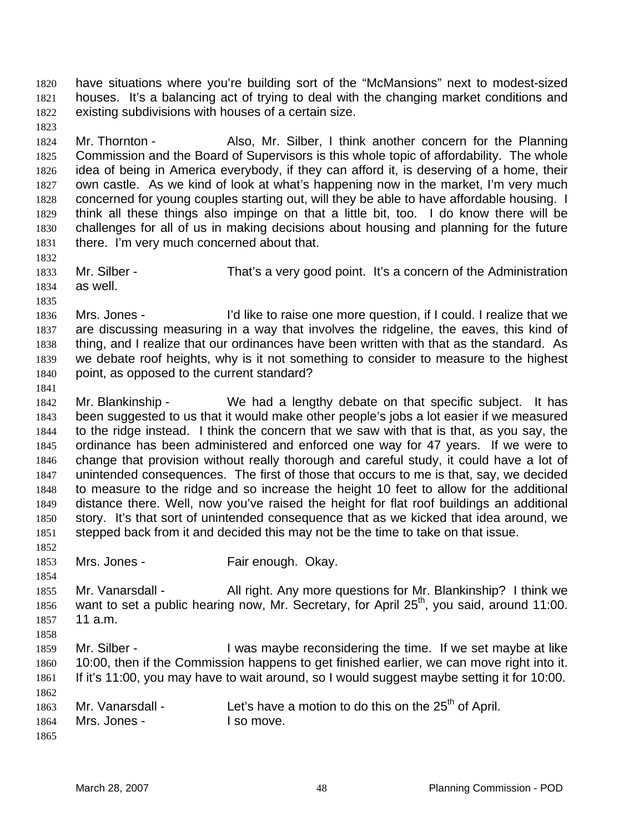have situations where you're building sort of the "McMansions" next to modest-sized houses. It's a balancing act of trying to deal with the changing market conditions and existing subdivisions with houses of a certain size. 1820 1821 1822

1824 1825 1826 1827 1828 1829 1830 1831 Mr. Thornton - Also, Mr. Silber, I think another concern for the Planning Commission and the Board of Supervisors is this whole topic of affordability. The whole idea of being in America everybody, if they can afford it, is deserving of a home, their own castle. As we kind of look at what's happening now in the market, I'm very much concerned for young couples starting out, will they be able to have affordable housing. I think all these things also impinge on that a little bit, too. I do know there will be challenges for all of us in making decisions about housing and planning for the future there. I'm very much concerned about that.

1833 1834 Mr. Silber - That's a very good point. It's a concern of the Administration as well.

1836 1837 1838 1839 1840 Mrs. Jones - I'd like to raise one more question, if I could. I realize that we are discussing measuring in a way that involves the ridgeline, the eaves, this kind of thing, and I realize that our ordinances have been written with that as the standard. As we debate roof heights, why is it not something to consider to measure to the highest point, as opposed to the current standard?

1841

1823

1832

1835

1842 1843 1844 1845 1846 1847 1848 1849 1850 1851 1852 Mr. Blankinship - We had a lengthy debate on that specific subject. It has been suggested to us that it would make other people's jobs a lot easier if we measured to the ridge instead. I think the concern that we saw with that is that, as you say, the ordinance has been administered and enforced one way for 47 years. If we were to change that provision without really thorough and careful study, it could have a lot of unintended consequences. The first of those that occurs to me is that, say, we decided to measure to the ridge and so increase the height 10 feet to allow for the additional distance there. Well, now you've raised the height for flat roof buildings an additional story. It's that sort of unintended consequence that as we kicked that idea around, we stepped back from it and decided this may not be the time to take on that issue.

- 1853 Mrs. Jones - Fair enough. Okay.
- 1855 1856 1857 1858 Mr. Vanarsdall - All right. Any more questions for Mr. Blankinship? I think we want to set a public hearing now, Mr. Secretary, for April 25<sup>th</sup>, you said, around 11:00. 11 a.m.
- 1859 1860 1861 1862 Mr. Silber - I was maybe reconsidering the time. If we set maybe at like 10:00, then if the Commission happens to get finished earlier, we can move right into it. If it's 11:00, you may have to wait around, so I would suggest maybe setting it for 10:00.

1863 1864 Mr. Vanarsdall - Let's have a motion to do this on the  $25<sup>th</sup>$  of April. Mrs. Jones - The Mrs. Jones - The Manager of the Manuscript of the Manuscript of the Manuscript of the Manuscript of the Manuscript of the Manuscript of the Manuscript of the Manuscript of the Manuscript of the Manuscript

1865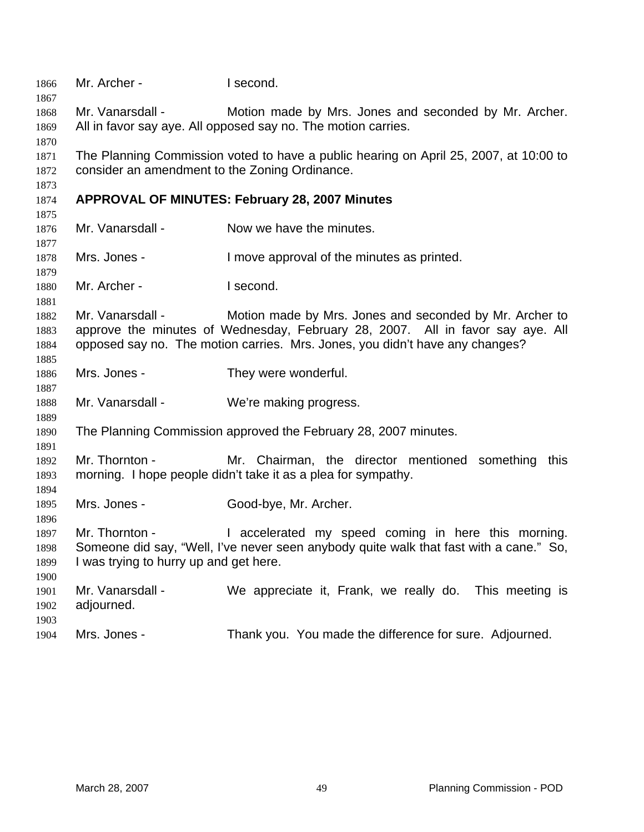| 1866<br>1867                 | Mr. Archer -                                             | I second.                                                                                                                                                                                                                 |  |  |
|------------------------------|----------------------------------------------------------|---------------------------------------------------------------------------------------------------------------------------------------------------------------------------------------------------------------------------|--|--|
| 1868<br>1869<br>1870         | Mr. Vanarsdall -                                         | Motion made by Mrs. Jones and seconded by Mr. Archer.<br>All in favor say aye. All opposed say no. The motion carries.                                                                                                    |  |  |
| 1871<br>1872<br>1873         |                                                          | The Planning Commission voted to have a public hearing on April 25, 2007, at 10:00 to<br>consider an amendment to the Zoning Ordinance.                                                                                   |  |  |
| 1874<br>1875                 |                                                          | <b>APPROVAL OF MINUTES: February 28, 2007 Minutes</b>                                                                                                                                                                     |  |  |
| 1876<br>1877                 | Mr. Vanarsdall -                                         | Now we have the minutes.                                                                                                                                                                                                  |  |  |
| 1878<br>1879                 | Mrs. Jones -                                             | I move approval of the minutes as printed.                                                                                                                                                                                |  |  |
| 1880<br>1881                 | Mr. Archer -                                             | I second.                                                                                                                                                                                                                 |  |  |
| 1882<br>1883<br>1884<br>1885 | Mr. Vanarsdall -                                         | Motion made by Mrs. Jones and seconded by Mr. Archer to<br>approve the minutes of Wednesday, February 28, 2007. All in favor say aye. All<br>opposed say no. The motion carries. Mrs. Jones, you didn't have any changes? |  |  |
| 1886<br>1887                 | Mrs. Jones -                                             | They were wonderful.                                                                                                                                                                                                      |  |  |
| 1888<br>1889                 | Mr. Vanarsdall -                                         | We're making progress.                                                                                                                                                                                                    |  |  |
| 1890<br>1891                 |                                                          | The Planning Commission approved the February 28, 2007 minutes.                                                                                                                                                           |  |  |
| 1892<br>1893<br>1894         | Mr. Thornton -                                           | Mr. Chairman, the director mentioned something this<br>morning. I hope people didn't take it as a plea for sympathy.                                                                                                      |  |  |
| 1895<br>1896                 | Mrs. Jones -                                             | Good-bye, Mr. Archer.                                                                                                                                                                                                     |  |  |
| 1897<br>1898<br>1899<br>1900 | Mr. Thornton -<br>I was trying to hurry up and get here. | I accelerated my speed coming in here this morning.<br>Someone did say, "Well, I've never seen anybody quite walk that fast with a cane." So,                                                                             |  |  |
| 1901<br>1902<br>1903         | Mr. Vanarsdall -<br>adjourned.                           | We appreciate it, Frank, we really do.<br>This meeting is                                                                                                                                                                 |  |  |
| 1904                         | Mrs. Jones -                                             | Thank you. You made the difference for sure. Adjourned.                                                                                                                                                                   |  |  |